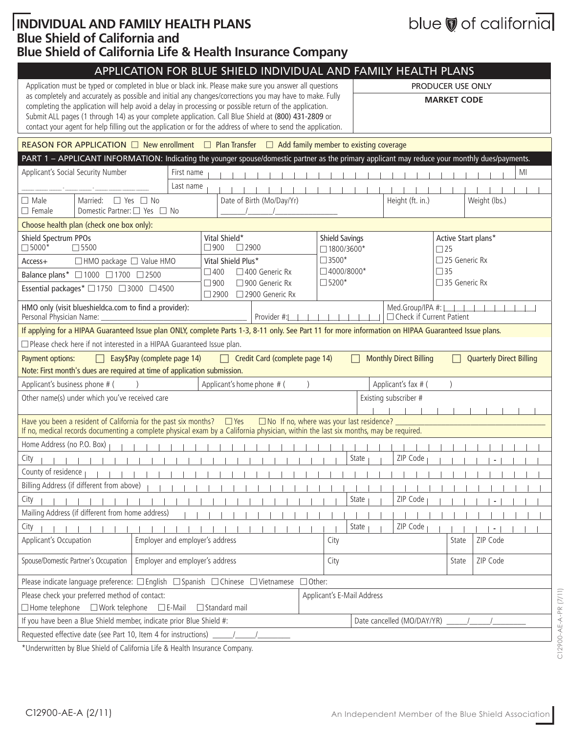### **Individual and Family Health Plans Blue Shield of California and Blue Shield of California Life & Health Insurance Company**

|  | blue of california |  |
|--|--------------------|--|
|  |                    |  |
|  |                    |  |
|  |                    |  |

| APPLICATION FOR BLUE SHIELD INDIVIDUAL AND FAMILY HEALTH PLANS                                                                                                                                                                                                                                                                                                                                                                             |                                                                    |                 |                                                 |                                                |                                  |  |
|--------------------------------------------------------------------------------------------------------------------------------------------------------------------------------------------------------------------------------------------------------------------------------------------------------------------------------------------------------------------------------------------------------------------------------------------|--------------------------------------------------------------------|-----------------|-------------------------------------------------|------------------------------------------------|----------------------------------|--|
| Application must be typed or completed in blue or black ink. Please make sure you answer all questions                                                                                                                                                                                                                                                                                                                                     |                                                                    |                 |                                                 |                                                | PRODUCER USE ONLY                |  |
| as completely and accurately as possible and initial any changes/corrections you may have to make. Fully<br>completing the application will help avoid a delay in processing or possible return of the application.<br>Submit ALL pages (1 through 14) as your complete application. Call Blue Shield at (800) 431-2809 or<br>contact your agent for help filling out the application or for the address of where to send the application. |                                                                    |                 |                                                 |                                                | <b>MARKET CODE</b>               |  |
| REASON FOR APPLICATION $\Box$ New enrollment $\Box$ Plan Transfer $\Box$ Add family member to existing coverage                                                                                                                                                                                                                                                                                                                            |                                                                    |                 |                                                 |                                                |                                  |  |
| PART 1 - APPLICANT INFORMATION: Indicating the younger spouse/domestic partner as the primary applicant may reduce your monthly dues/payments.                                                                                                                                                                                                                                                                                             |                                                                    |                 |                                                 |                                                |                                  |  |
| Applicant's Social Security Number<br>First name                                                                                                                                                                                                                                                                                                                                                                                           |                                                                    |                 |                                                 |                                                | MI                               |  |
| Last name                                                                                                                                                                                                                                                                                                                                                                                                                                  |                                                                    |                 |                                                 |                                                |                                  |  |
| $\Box$ Male<br>Married: $\Box$ Yes $\Box$ No<br>Domestic Partner: □ Yes □ No<br>$\Box$ Female                                                                                                                                                                                                                                                                                                                                              | Date of Birth (Mo/Day/Yr)                                          |                 |                                                 | Height (ft. in.)                               | Weight (lbs.)                    |  |
| Choose health plan (check one box only):                                                                                                                                                                                                                                                                                                                                                                                                   |                                                                    |                 |                                                 |                                                |                                  |  |
| Shield Spectrum PPOs<br>$\square$ 5000*<br>$\square$ 5500                                                                                                                                                                                                                                                                                                                                                                                  | Vital Shield*<br>$\Box$ 900<br>$\square$ 2900                      |                 | <b>Shield Savings</b><br>$\Box$ 1800/3600*      |                                                | Active Start plans*<br>$\Box$ 25 |  |
| □HMO package □ Value HMO<br>$Access+$                                                                                                                                                                                                                                                                                                                                                                                                      | Vital Shield Plus*                                                 | $\square$ 3500* |                                                 |                                                | $\square$ 25 Generic Rx          |  |
| Balance plans* □ 1000 □ 1700 □ 2500                                                                                                                                                                                                                                                                                                                                                                                                        | $\Box$ 400<br>□ 400 Generic Rx                                     |                 | $\Box$ 4000/8000*                               |                                                | $\Box$ 35                        |  |
| Essential packages* □ 1750 □ 3000 □ 4500                                                                                                                                                                                                                                                                                                                                                                                                   | $\Box$ 900<br>□ 900 Generic Rx<br>$\Box$ 2900<br>□ 2900 Generic Rx | $\square$ 5200* |                                                 |                                                | □ 35 Generic Rx                  |  |
| HMO only (visit blueshieldca.com to find a provider):<br>Personal Physician Name:                                                                                                                                                                                                                                                                                                                                                          | Provider #:                                                        |                 |                                                 | Med.Group/IPA #:<br>□ Check if Current Patient |                                  |  |
| If applying for a HIPAA Guaranteed Issue plan ONLY, complete Parts 1-3, 8-11 only. See Part 11 for more information on HIPAA Guaranteed Issue plans.                                                                                                                                                                                                                                                                                       |                                                                    |                 |                                                 |                                                |                                  |  |
| □ Please check here if not interested in a HIPAA Guaranteed Issue plan.                                                                                                                                                                                                                                                                                                                                                                    |                                                                    |                 |                                                 |                                                |                                  |  |
| Easy\$Pay (complete page 14)<br>Payment options:<br>$\Box$                                                                                                                                                                                                                                                                                                                                                                                 | Credit Card (complete page 14)<br>$\Box$                           |                 |                                                 | <b>Monthly Direct Billing</b>                  | <b>Quarterly Direct Billing</b>  |  |
| Note: First month's dues are required at time of application submission.                                                                                                                                                                                                                                                                                                                                                                   |                                                                    |                 |                                                 |                                                |                                  |  |
| Applicant's business phone # (                                                                                                                                                                                                                                                                                                                                                                                                             | Applicant's home phone # (                                         |                 |                                                 | Applicant's fax # (                            |                                  |  |
| Other name(s) under which you've received care                                                                                                                                                                                                                                                                                                                                                                                             |                                                                    |                 |                                                 | Existing subscriber #                          |                                  |  |
| Have you been a resident of California for the past six months? $\Box$ Yes<br>If no, medical records documenting a complete physical exam by a California physician, within the last six months, may be required.                                                                                                                                                                                                                          |                                                                    |                 | $\Box$ No If no, where was your last residence? |                                                |                                  |  |
| Home Address (no P.O. Box)                                                                                                                                                                                                                                                                                                                                                                                                                 |                                                                    |                 |                                                 |                                                |                                  |  |
| City                                                                                                                                                                                                                                                                                                                                                                                                                                       |                                                                    |                 | State                                           | ZIP Code                                       |                                  |  |
| County of residence<br>$-1$ $-1$ $-1$ $-1$                                                                                                                                                                                                                                                                                                                                                                                                 |                                                                    |                 |                                                 | .                                              |                                  |  |
| Billing Address (if different from above)                                                                                                                                                                                                                                                                                                                                                                                                  |                                                                    |                 |                                                 |                                                |                                  |  |
| City                                                                                                                                                                                                                                                                                                                                                                                                                                       |                                                                    |                 | State                                           | ZIP Code                                       |                                  |  |
| Mailing Address (if different from home address)                                                                                                                                                                                                                                                                                                                                                                                           |                                                                    |                 |                                                 |                                                |                                  |  |
| City                                                                                                                                                                                                                                                                                                                                                                                                                                       |                                                                    |                 | State                                           | ZIP Code                                       |                                  |  |
| Applicant's Occupation<br>Employer and employer's address                                                                                                                                                                                                                                                                                                                                                                                  |                                                                    | City            |                                                 |                                                | ZIP Code<br>State                |  |
| Spouse/Domestic Partner's Occupation<br>Employer and employer's address                                                                                                                                                                                                                                                                                                                                                                    |                                                                    | City            |                                                 |                                                | ZIP Code<br>State                |  |
| Please indicate language preference: □ English □ Spanish □ Chinese □ Vietnamese                                                                                                                                                                                                                                                                                                                                                            |                                                                    | $\Box$ Other:   |                                                 |                                                |                                  |  |
| Please check your preferred method of contact:                                                                                                                                                                                                                                                                                                                                                                                             |                                                                    |                 | Applicant's E-Mail Address                      |                                                |                                  |  |
| $\Box$ Home telephone<br>$\Box$ Work telephone $\Box$ E-Mail                                                                                                                                                                                                                                                                                                                                                                               | $\Box$ Standard mail                                               |                 |                                                 |                                                |                                  |  |
| If you have been a Blue Shield member, indicate prior Blue Shield #:                                                                                                                                                                                                                                                                                                                                                                       |                                                                    |                 |                                                 | Date cancelled (MO/DAY/YR)                     |                                  |  |
| Requested effective date (see Part 10, Item 4 for instructions)                                                                                                                                                                                                                                                                                                                                                                            |                                                                    |                 |                                                 |                                                |                                  |  |

\*Underwritten by Blue Shield of California Life & Health Insurance Company.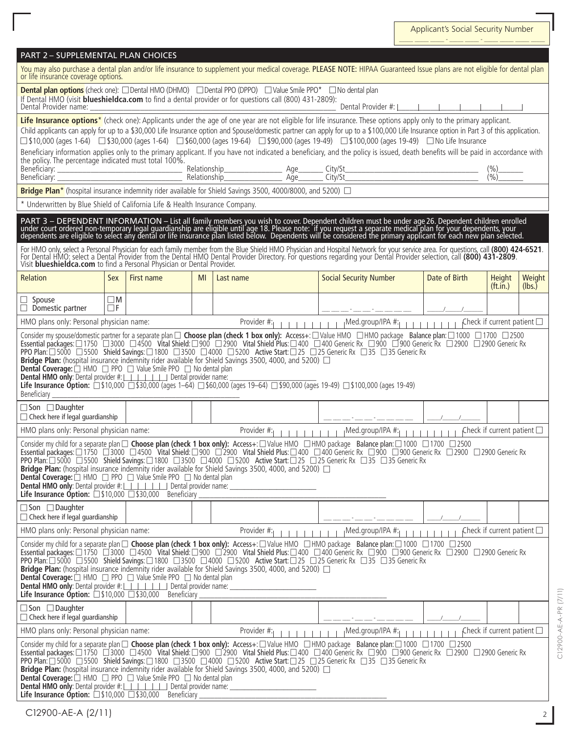| PART 2 – SUPPLEMENTAL PLAN CHOICES |  |
|------------------------------------|--|
|                                    |  |

| You may also purchase a dental plan and/or life insurance to supplement your medical coverage. PLEASE NOTE: HIPAA Guaranteed Issue plans are not eligible for dental plan<br>or life insurance coverage options.                                                                                                                                                                                                                                                                                                                                                                                                                                                                                                                                                                                                                                                                                                                                |                         |            |    |                                                                                                                                                                                                                                                                                                                                                                                                                                                                                                                                                                                                                                                                                                           |                                          |               |                                    |                  |
|-------------------------------------------------------------------------------------------------------------------------------------------------------------------------------------------------------------------------------------------------------------------------------------------------------------------------------------------------------------------------------------------------------------------------------------------------------------------------------------------------------------------------------------------------------------------------------------------------------------------------------------------------------------------------------------------------------------------------------------------------------------------------------------------------------------------------------------------------------------------------------------------------------------------------------------------------|-------------------------|------------|----|-----------------------------------------------------------------------------------------------------------------------------------------------------------------------------------------------------------------------------------------------------------------------------------------------------------------------------------------------------------------------------------------------------------------------------------------------------------------------------------------------------------------------------------------------------------------------------------------------------------------------------------------------------------------------------------------------------------|------------------------------------------|---------------|------------------------------------|------------------|
| <b>Dental plan options</b> (check one): □ Dental HMO (DHMO) □ Dental PPO (DPPO) □ Value Smile PPO <sup>*</sup> □ No dental plan<br>If Dental HMO (visit blueshieldca.com to find a dental provider or for questions call (800) 431-2809):<br>Dental Provider #: $\vert$      <br>Dental Provider name:                                                                                                                                                                                                                                                                                                                                                                                                                                                                                                                                                                                                                                          |                         |            |    |                                                                                                                                                                                                                                                                                                                                                                                                                                                                                                                                                                                                                                                                                                           |                                          |               |                                    |                  |
| the policy. The percentage indicated must total 100%.                                                                                                                                                                                                                                                                                                                                                                                                                                                                                                                                                                                                                                                                                                                                                                                                                                                                                           |                         |            |    | Life Insurance options <sup>*</sup> (check one): Applicants under the age of one year are not eligible for life insurance. These options apply only to the primary applicant.<br>Child applicants can apply for up to a \$30,000 Life Insurance option and Spouse/domestic partner can apply for up to a \$100,000 Life Insurance option in Part 3 of this application.<br>□ \$10,000 (ages 1-64) □ \$30,000 (ages 1-64) □ \$60,000 (ages 19-64) □ \$90,000 (ages 19-49) □ \$100,000 (ages 19-49) □ No Life Insurance<br>Beneficiary information applies only to the primary applicant. If you have not indicated a beneficiary, and the policy is issued, death benefits will be paid in accordance with |                                          |               | $\frac{(\%)}{(\%)}$                |                  |
|                                                                                                                                                                                                                                                                                                                                                                                                                                                                                                                                                                                                                                                                                                                                                                                                                                                                                                                                                 |                         |            |    | Bridge Plan* (hospital insurance indemnity rider available for Shield Savings 3500, 4000/8000, and 5200) $\Box$                                                                                                                                                                                                                                                                                                                                                                                                                                                                                                                                                                                           |                                          |               |                                    |                  |
| * Underwritten by Blue Shield of California Life & Health Insurance Company.                                                                                                                                                                                                                                                                                                                                                                                                                                                                                                                                                                                                                                                                                                                                                                                                                                                                    |                         |            |    |                                                                                                                                                                                                                                                                                                                                                                                                                                                                                                                                                                                                                                                                                                           |                                          |               |                                    |                  |
|                                                                                                                                                                                                                                                                                                                                                                                                                                                                                                                                                                                                                                                                                                                                                                                                                                                                                                                                                 |                         |            |    | PART 3 – DEPENDENT INFORMATION – List all family members you wish to cover. Dependent children must be under age 26. Dependent children enrolled<br>under court ordered non-temporary legal guardianship are eligible until age 1                                                                                                                                                                                                                                                                                                                                                                                                                                                                         |                                          |               |                                    |                  |
| Visit <b>blueshieldca.com</b> to find a Personal Physician or Dental Provider.                                                                                                                                                                                                                                                                                                                                                                                                                                                                                                                                                                                                                                                                                                                                                                                                                                                                  |                         |            |    | For HMO only, select a Personal Physician for each family member from the Blue Shield HMO Physician and Hospital Network for your service area. For questions, call (800) 424-6521.<br>For Dental HMO: select a Dental Provider from the Dental HMO Dental Provider Directory. For questions regarding your Dental Provider selection, call (800) 431-2809.                                                                                                                                                                                                                                                                                                                                               |                                          |               |                                    |                  |
| Relation                                                                                                                                                                                                                                                                                                                                                                                                                                                                                                                                                                                                                                                                                                                                                                                                                                                                                                                                        | Sex                     | First name | MI | Last name                                                                                                                                                                                                                                                                                                                                                                                                                                                                                                                                                                                                                                                                                                 | <b>Social Security Number</b>            | Date of Birth | Height<br>(f <sub>t</sub> .in.)    | Weight<br>(lbs.) |
| $\Box$ Spouse<br>$\Box$ Domestic partner                                                                                                                                                                                                                                                                                                                                                                                                                                                                                                                                                                                                                                                                                                                                                                                                                                                                                                        | $\square$ M<br>$\Box$ F |            |    |                                                                                                                                                                                                                                                                                                                                                                                                                                                                                                                                                                                                                                                                                                           |                                          |               |                                    |                  |
| HMO plans only: Personal physician name:                                                                                                                                                                                                                                                                                                                                                                                                                                                                                                                                                                                                                                                                                                                                                                                                                                                                                                        |                         |            |    | Provider #:<br>$1 - 1 - 1 - 1 - 1 - 1$                                                                                                                                                                                                                                                                                                                                                                                                                                                                                                                                                                                                                                                                    |                                          |               | Check if current patient $\square$ |                  |
| Consider my spouse/domestic partner for a separate plan □ Choose plan (check 1 box only): Access+: □ Value HMO □ HMO package Balance plan: □ 1000 □ 1700 □ 2500<br>Essential packages: □1750 □3000 □4500 Vital Shield: □900 □2900 Vital Shield Plus: □400 □400 Generic Rx □900 □900 Generic Rx □2900 □2900 Generic Rx<br>PPO Plan: □ 5000 □ 5500 Shield Savings: □ 1800 □ 3500 □ 4000 □ 5200 Active Start: □ 25 □ 25 Generic Rx □ 35 □ 35 Generic Rx<br><b>Bridge Plan:</b> (hospital insurance indemnity rider available for Shield Savings 3500, 4000, and 5200) $\Box$<br><b>Dental Coverage:</b> $\Box$ HMO $\Box$ PPO $\Box$ Value Smile PPO $\Box$ No dental plan<br><b>Dental HMO only:</b> Dental provider #:                 Dental provider name:<br><b>Life Insurance Option:</b> $\Box$ \$10,000 $\Box$ \$30,000 (ages 1-64) $\Box$ \$60,000 (ages 19-64) $\Box$ \$90,000 (ages 19-49) $\Box$ \$100,000 (ages 19-49)<br>Beneficiary |                         |            |    |                                                                                                                                                                                                                                                                                                                                                                                                                                                                                                                                                                                                                                                                                                           |                                          |               |                                    |                  |
| $\Box$ Son $\Box$ Daughter<br>$\Box$ Check here if legal guardianship                                                                                                                                                                                                                                                                                                                                                                                                                                                                                                                                                                                                                                                                                                                                                                                                                                                                           |                         |            |    |                                                                                                                                                                                                                                                                                                                                                                                                                                                                                                                                                                                                                                                                                                           |                                          |               |                                    |                  |
| HMO plans only: Personal physician name:                                                                                                                                                                                                                                                                                                                                                                                                                                                                                                                                                                                                                                                                                                                                                                                                                                                                                                        |                         |            |    | Provider #:                                                                                                                                                                                                                                                                                                                                                                                                                                                                                                                                                                                                                                                                                               | ¡Med.group/IPA #:                        |               | Check if current patient $\square$ |                  |
| Consider my child for a separate plan $\Box$ Choose plan (check 1 box only): Access+: $\Box$ Value HMO $\Box$ HMO package Balance plan: $\Box$ 1000 $\Box$ 1700 $\Box$ 2500<br>Essential packages: $\Box$ 1750 $\Box$ 3000 $\Box$ 4500 Vital Shiel<br>PPO Plan:□5000 □5500 Shield Savings:□1800 □3500 □4000 □5200 Active Start:□25 □25 Generic Rx □35 □35 Generic Rx<br><b>Bridge Plan:</b> (hospital insurance indemnity rider available for Shield Savings 3500, 4000, and 5200) $\Box$<br><b>Dental Coverage:</b> $\Box$ HMO $\Box$ PPO $\Box$ Value Smile PPO $\Box$ No dental plan<br>Life Insurance Option: 510,000 530,000 Beneficiary                                                                                                                                                                                                                                                                                                   |                         |            |    |                                                                                                                                                                                                                                                                                                                                                                                                                                                                                                                                                                                                                                                                                                           |                                          |               |                                    |                  |
| □ Son □ Daughter<br>$\Box$ Check here if legal guardianship                                                                                                                                                                                                                                                                                                                                                                                                                                                                                                                                                                                                                                                                                                                                                                                                                                                                                     |                         |            |    |                                                                                                                                                                                                                                                                                                                                                                                                                                                                                                                                                                                                                                                                                                           |                                          |               |                                    |                  |
| HMO plans only: Personal physician name:                                                                                                                                                                                                                                                                                                                                                                                                                                                                                                                                                                                                                                                                                                                                                                                                                                                                                                        |                         |            |    | Provider #:                                                                                                                                                                                                                                                                                                                                                                                                                                                                                                                                                                                                                                                                                               | ¡Med.group/IPA #:<br>$1 - 1 - 1 - 1 - 1$ |               | Check if current patient $\square$ |                  |
| Consider my child for a separate plan $\Box$ Choose plan (check 1 box only): Access+: $\Box$ Value HMO $\Box$ HMO package Balance plan: $\Box$ 1000 $\Box$ 1700 $\Box$ 2500<br>Essential packages: □ 1750 □3000 □ 4500 Vital Shield: □ 900 □ 2900 Vital Shield Plus: □ 400 □ 400 Generic Rx □ 900 □ 900 Generic Rx □ 2900 □ 2900 Generic Rx<br>PPO Plan: □ 5000 □ 5500 Shield Savings: □ 1800 □ 3500 □ 4000 □ 5200 Active Start: □ 25 □ 25 Generic Rx □ 35 □ 35 Generic Rx<br><b>Bridge Plan:</b> (hospital insurance indemnity rider available for Shield Savings 3500, 4000, and 5200) $\Box$<br><b>Dental Coverage:</b> $\Box$ HMO $\Box$ PPO $\Box$ Value Smile PPO $\Box$ No dental plan<br><b>Life Insurance Option:</b> $\Box$ \$10,000 $\Box$ \$30,000 Beneficiary                                                                                                                                                                      |                         |            |    |                                                                                                                                                                                                                                                                                                                                                                                                                                                                                                                                                                                                                                                                                                           |                                          |               |                                    |                  |
| $\Box$ Son $\Box$ Daughter<br>$\Box$ Check here if legal guardianship                                                                                                                                                                                                                                                                                                                                                                                                                                                                                                                                                                                                                                                                                                                                                                                                                                                                           |                         |            |    |                                                                                                                                                                                                                                                                                                                                                                                                                                                                                                                                                                                                                                                                                                           |                                          |               |                                    |                  |
| HMO plans only: Personal physician name:                                                                                                                                                                                                                                                                                                                                                                                                                                                                                                                                                                                                                                                                                                                                                                                                                                                                                                        |                         |            |    | Provider #:                                                                                                                                                                                                                                                                                                                                                                                                                                                                                                                                                                                                                                                                                               | ¡Med.group/IPA #:<br>$1 - 1 - 1 - 1 - 1$ |               |                                    |                  |
| Check if current patient $\square$<br>Consider my child for a separate plan $\Box$ Choose plan (check 1 box only): Access+: $\Box$ Value HMO $\Box$ HMO package Balance plan: $\Box$ 1000 $\Box$ 1700 $\Box$ 2500<br>Essential packages: □ 1750 □ 3000 □ 4500 Vital Shield: □ 900 □ 2900 Vital Shield Plus: □ 400 □ 400 Generic Rx □ 900 □ 900 Generic Rx □ 2900 □ 2900 Generic Rx<br>PPO Plan: □ 5000 □ 5500 Shield Savings: □ 1800 □ 3500 □ 4000 □ 5200 Active Start: □ 25 □ 25 Generic Rx □ 35 □ 35 Generic Rx<br><b>Bridge Plan:</b> (hospital insurance indemnity rider available for Shield Savings 3500, 4000, and 5200) $\Box$<br><b>Dental Coverage:</b> $\Box$ HMO $\Box$ PPO $\Box$ Value Smile PPO $\Box$ No dental plan<br><b>Life Insurance Option:</b> $\Box$ \$10,000 $\Box$ \$30,000 Beneficiary                                                                                                                               |                         |            |    |                                                                                                                                                                                                                                                                                                                                                                                                                                                                                                                                                                                                                                                                                                           |                                          |               |                                    |                  |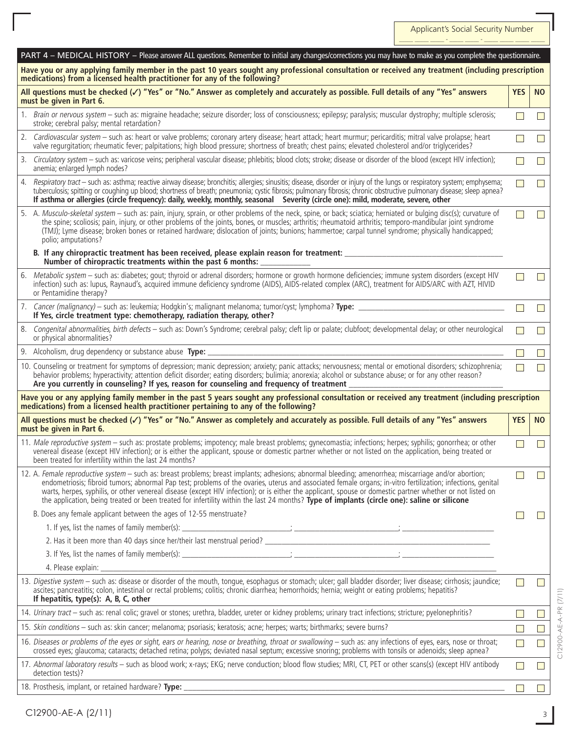| PART 4 - MEDICAL HISTORY - Please answer ALL questions. Remember to initial any changes/corrections you may have to make as you complete the questionnaire.                                                                                                                                                                                                                                                                                                                                                                                                                                                                       |                          |                             |
|-----------------------------------------------------------------------------------------------------------------------------------------------------------------------------------------------------------------------------------------------------------------------------------------------------------------------------------------------------------------------------------------------------------------------------------------------------------------------------------------------------------------------------------------------------------------------------------------------------------------------------------|--------------------------|-----------------------------|
| Have you or any applying family member in the past 10 years sought any professional consultation or received any treatment (including prescription<br>medications) from a licensed health practitioner for any of the following?                                                                                                                                                                                                                                                                                                                                                                                                  |                          |                             |
| All questions must be checked $(\checkmark)$ "Yes" or "No." Answer as completely and accurately as possible. Full details of any "Yes" answers<br>must be given in Part 6.                                                                                                                                                                                                                                                                                                                                                                                                                                                        | <b>YES</b>               | <b>NO</b>                   |
| 1. Brain or nervous system - such as: migraine headache; seizure disorder; loss of consciousness; epilepsy; paralysis; muscular dystrophy; multiple sclerosis;<br>stroke; cerebral palsy; mental retardation?                                                                                                                                                                                                                                                                                                                                                                                                                     | $\Box$                   | $\mathsf{L}$                |
| 2. Cardiovascular system - such as: heart or valve problems; coronary artery disease; heart attack; heart murmur; pericarditis; mitral valve prolapse; heart<br>valve requrgitation; rheumatic fever; palpitations; high blood pressure; shortness of breath; chest pains; elevated cholesterol and/or triglycerides?                                                                                                                                                                                                                                                                                                             |                          | $\Box$                      |
| 3. Circulatory system - such as: varicose veins; peripheral vascular disease; phlebitis; blood clots; stroke; disease or disorder of the blood (except HIV infection);<br>anemia; enlarged lymph nodes?                                                                                                                                                                                                                                                                                                                                                                                                                           |                          | $\mathbf{L}$                |
| 4. Respiratory tract - such as: asthma; reactive airway disease; bronchitis; allergies; sinusitis; disease, disorder or injury of the lungs or respiratory system; emphysema;<br>tuberculosis; spitting or coughing up blood; shortness of breath; pneumonia; cystic fibrosis; pulmonary fibrosis; chronic obstructive pulmonary disease; sleep apnea?<br>If asthma or allergies (circle frequency): daily, weekly, monthly, seasonal Severity (circle one): mild, moderate, severe, other                                                                                                                                        | $\overline{\phantom{0}}$ | $\Box$                      |
| 5. A. Musculo-skeletal system - such as: pain, injury, sprain, or other problems of the neck, spine, or back; sciatica; herniated or bulging disc(s); curvature of<br>the spine; scoliosis; pain, injury, or other problems of the joints, bones, or muscles; arthritis; rheumatoid arthritis; temporo-mandibular joint syndrome<br>(TMJ); Lyme disease; broken bones or retained hardware; dislocation of joints; bunions; hammertoe; carpal tunnel syndrome; physically handicapped;<br>polio; amputations?                                                                                                                     |                          | $\mathsf{L}$                |
| B. If any chiropractic treatment has been received, please explain reason for treatment:<br>Number of chiropractic treatments within the past 6 months:                                                                                                                                                                                                                                                                                                                                                                                                                                                                           |                          |                             |
| 6. Metabolic system - such as: diabetes; gout; thyroid or adrenal disorders; hormone or growth hormone deficiencies; immune system disorders (except HIV<br>infection) such as: lupus, Raynaud's, acquired immune deficiency syndrome (AIDS), AIDS-related complex (ARC), treatment for AIDS/ARC with AZT, HIVID<br>or Pentamidine therapy?                                                                                                                                                                                                                                                                                       | $\Box$                   | $\Box$                      |
| 7. Cancer (malignancy) – such as: leukemia; Hodgkin's; malignant melanoma; tumor/cyst; lymphoma? Type:<br>If Yes, circle treatment type: chemotherapy, radiation therapy, other?                                                                                                                                                                                                                                                                                                                                                                                                                                                  | $\Box$                   | $\Box$                      |
| 8. Congenital abnormalities, birth defects - such as: Down's Syndrome; cerebral palsy; cleft lip or palate; clubfoot; developmental delay; or other neurological<br>or physical abnormalities?                                                                                                                                                                                                                                                                                                                                                                                                                                    |                          |                             |
| 9. Alcoholism, drug dependency or substance abuse Type:                                                                                                                                                                                                                                                                                                                                                                                                                                                                                                                                                                           |                          | $\mathsf{L}$                |
| 10. Counseling or treatment for symptoms of depression; manic depression; anxiety; panic attacks; nervousness; mental or emotional disorders; schizophrenia;<br>behavior problems; hyperactivity; attention deficit disorder; eating disorders; bulimia; anorexia; alcohol or substance abuse; or for any other reason?<br>Are you currently in counseling? If yes, reason for counseling and frequency of treatment                                                                                                                                                                                                              |                          |                             |
| Have you or any applying family member in the past 5 years sought any professional consultation or received any treatment (including prescription<br>medications) from a licensed health practitioner pertaining to any of the following?                                                                                                                                                                                                                                                                                                                                                                                         |                          |                             |
| All questions must be checked $(\checkmark)$ "Yes" or "No." Answer as completely and accurately as possible. Full details of any "Yes" answers<br>must be given in Part 6.                                                                                                                                                                                                                                                                                                                                                                                                                                                        | <b>YES</b>               | <b>NO</b>                   |
| 11. Male reproductive system - such as: prostate problems; impotency; male breast problems; qynecomastia; infections; herpes; syphilis; qonorrhea; or other<br>venereal disease (except HIV infection); or is either the applicant, spouse or domestic partner whether or not listed on the application, being treated or<br>been treated for infertility within the last 24 months?                                                                                                                                                                                                                                              |                          | $\blacksquare$              |
| 12. A. Female reproductive system - such as: breast problems; breast implants; adhesions; abnormal bleeding; amenorrhea; miscarriage and/or abortion;<br>endometriosis; fibroid tumors; abnormal Pap test; problems of the ovaries, uterus and associated female organs; in-vitro fertilization; infections, genital<br>warts, herpes, syphilis, or other venereal disease (except HIV infection); or is either the applicant, spouse or domestic partner whether or not listed on<br>the application, being treated or been treated for infertility within the last 24 months? Type of implants (circle one): saline or silicone |                          | $\Box$                      |
| B. Does any female applicant between the ages of 12-55 menstruate?                                                                                                                                                                                                                                                                                                                                                                                                                                                                                                                                                                |                          |                             |
|                                                                                                                                                                                                                                                                                                                                                                                                                                                                                                                                                                                                                                   |                          |                             |
|                                                                                                                                                                                                                                                                                                                                                                                                                                                                                                                                                                                                                                   |                          |                             |
|                                                                                                                                                                                                                                                                                                                                                                                                                                                                                                                                                                                                                                   |                          |                             |
| 4. Please explain:                                                                                                                                                                                                                                                                                                                                                                                                                                                                                                                                                                                                                |                          |                             |
| 13. Digestive system - such as: disease or disorder of the mouth, tongue, esophagus or stomach; ulcer; gall bladder disorder; liver disease; cirrhosis; jaundice;<br>ascites; pancreatitis; colon, intestinal or rectal problems; colitis; chronic diarrhea; hemorrhoids; hernia; weight or eating problems; hepatitis?<br>If hepatitis, type(s): A, B, C, other                                                                                                                                                                                                                                                                  |                          | $\Box$                      |
| 14. Urinary tract - such as: renal colic; gravel or stones; urethra, bladder, ureter or kidney problems; urinary tract infections; stricture; pyelonephritis?                                                                                                                                                                                                                                                                                                                                                                                                                                                                     |                          | $\mathcal{L}^{\mathcal{A}}$ |
| 15. Skin conditions - such as: skin cancer; melanoma; psoriasis; keratosis; acne; herpes; warts; birthmarks; severe burns?                                                                                                                                                                                                                                                                                                                                                                                                                                                                                                        | $\mathsf{L}$             |                             |
| 16. Diseases or problems of the eyes or sight, ears or hearing, nose or breathing, throat or swallowing - such as: any infections of eyes, ears, nose or throat;<br>crossed eyes; glaucoma; cataracts; detached retina; polyps; deviated nasal septum; excessive snoring; problems with tonsils or adenoids; sleep apnea?                                                                                                                                                                                                                                                                                                         | $\Box$                   | $\Box$                      |
| 17. Abnormal laboratory results - such as blood work; x-rays; EKG; nerve conduction; blood flow studies; MRI, CT, PET or other scans(s) (except HIV antibody<br>detection tests)?                                                                                                                                                                                                                                                                                                                                                                                                                                                 | П                        | $\mathsf{L}$                |
| 18. Prosthesis, implant, or retained hardware? Type: ___________________________                                                                                                                                                                                                                                                                                                                                                                                                                                                                                                                                                  |                          |                             |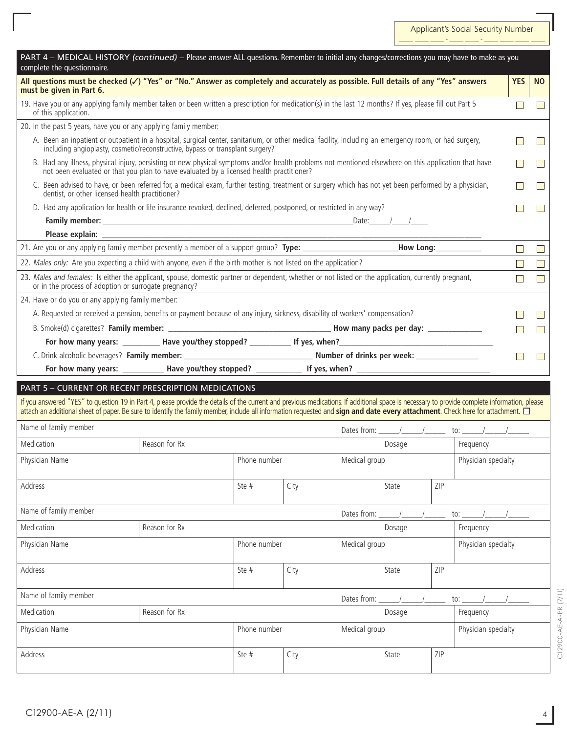Applicant's Social Security Number \_\_\_\_\_ \_\_\_\_\_ \_\_\_\_\_ - \_\_\_\_\_ \_\_\_\_\_ - \_\_\_\_\_ \_\_\_\_\_ \_\_\_\_\_ \_\_\_\_\_

| PART 4 - MEDICAL HISTORY (continued) - Please answer ALL questions. Remember to initial any changes/corrections you may have to make as you<br>complete the questionnaire.                                                                                                                                                                                                   |               |              |      |                     |        |     |                     |                |                  |
|------------------------------------------------------------------------------------------------------------------------------------------------------------------------------------------------------------------------------------------------------------------------------------------------------------------------------------------------------------------------------|---------------|--------------|------|---------------------|--------|-----|---------------------|----------------|------------------|
| All questions must be checked $(\checkmark)$ "Yes" or "No." Answer as completely and accurately as possible. Full details of any "Yes" answers<br>must be given in Part 6.                                                                                                                                                                                                   |               |              |      |                     |        |     |                     | <b>YES</b>     | <b>NO</b>        |
| 19. Have you or any applying family member taken or been written a prescription for medication(s) in the last 12 months? If yes, please fill out Part 5<br>of this application.                                                                                                                                                                                              |               |              |      |                     |        |     |                     | $\Box$         | $\mathbf{I}$     |
| 20. In the past 5 years, have you or any applying family member:                                                                                                                                                                                                                                                                                                             |               |              |      |                     |        |     |                     |                |                  |
| A. Been an inpatient or outpatient in a hospital, surgical center, sanitarium, or other medical facility, including an emergency room, or had surgery,<br>including angioplasty, cosmetic/reconstructive, bypass or transplant surgery?                                                                                                                                      |               |              |      |                     |        |     |                     |                |                  |
| B. Had any illness, physical injury, persisting or new physical symptoms and/or health problems not mentioned elsewhere on this application that have<br>not been evaluated or that you plan to have evaluated by a licensed health practitioner?                                                                                                                            |               |              |      |                     |        |     |                     |                |                  |
| C. Been advised to have, or been referred for, a medical exam, further testing, treatment or surgery which has not yet been performed by a physician,<br>dentist, or other licensed health practitioner?                                                                                                                                                                     |               |              |      |                     |        |     |                     |                |                  |
| D. Had any application for health or life insurance revoked, declined, deferred, postponed, or restricted in any way?                                                                                                                                                                                                                                                        |               |              |      |                     |        |     |                     |                |                  |
|                                                                                                                                                                                                                                                                                                                                                                              |               |              |      |                     |        |     |                     |                |                  |
|                                                                                                                                                                                                                                                                                                                                                                              |               |              |      |                     |        |     |                     |                |                  |
|                                                                                                                                                                                                                                                                                                                                                                              |               |              |      |                     |        |     |                     | $\mathbb{R}^n$ | $\mathbb{R}^n$   |
| 22. Males only: Are you expecting a child with anyone, even if the birth mother is not listed on the application?                                                                                                                                                                                                                                                            |               |              |      |                     |        |     |                     | $\mathbf{I}$   | $\mathbf{I}$     |
| 23. Males and females: Is either the applicant, spouse, domestic partner or dependent, whether or not listed on the application, currently pregnant,<br>or in the process of adoption or surrogate pregnancy?                                                                                                                                                                |               |              |      |                     |        |     |                     |                |                  |
| 24. Have or do you or any applying family member:                                                                                                                                                                                                                                                                                                                            |               |              |      |                     |        |     |                     |                |                  |
| A. Requested or received a pension, benefits or payment because of any injury, sickness, disability of workers' compensation?                                                                                                                                                                                                                                                |               |              |      |                     |        |     |                     |                |                  |
|                                                                                                                                                                                                                                                                                                                                                                              |               |              |      |                     |        |     |                     |                | $\mathbf{I}$     |
|                                                                                                                                                                                                                                                                                                                                                                              |               |              |      |                     |        |     |                     |                |                  |
|                                                                                                                                                                                                                                                                                                                                                                              |               |              |      |                     |        |     |                     |                | <b>The State</b> |
|                                                                                                                                                                                                                                                                                                                                                                              |               |              |      |                     |        |     |                     |                |                  |
| PART 5 - CURRENT OR RECENT PRESCRIPTION MEDICATIONS                                                                                                                                                                                                                                                                                                                          |               |              |      |                     |        |     |                     |                |                  |
| If you answered "YES" to question 19 in Part 4, please provide the details of the current and previous medications. If additional space is necessary to provide complete information, please<br>attach an additional sheet of paper. Be sure to identify the family member, include all information requested and sign and date every attachment. Check here for attachment. |               |              |      |                     |        |     |                     |                |                  |
| Name of family member                                                                                                                                                                                                                                                                                                                                                        |               |              |      |                     |        |     |                     |                |                  |
| Medication                                                                                                                                                                                                                                                                                                                                                                   | Reason for Rx |              |      | Frequency<br>Dosage |        |     |                     |                |                  |
|                                                                                                                                                                                                                                                                                                                                                                              |               |              |      |                     |        |     |                     |                |                  |
| Physician Name                                                                                                                                                                                                                                                                                                                                                               |               | Phone number |      |                     |        |     | Physician specialty |                |                  |
| Address                                                                                                                                                                                                                                                                                                                                                                      |               | Ste#         | City |                     | State  | ZIP |                     |                |                  |
| Name of family member                                                                                                                                                                                                                                                                                                                                                        |               |              |      | Dates from:         |        |     | to:                 |                |                  |
| Medication                                                                                                                                                                                                                                                                                                                                                                   | Reason for Rx |              |      |                     | Dosage |     | Frequency           |                |                  |
| Physician Name                                                                                                                                                                                                                                                                                                                                                               |               | Phone number |      | Medical group       |        |     | Physician specialty |                |                  |
| Address                                                                                                                                                                                                                                                                                                                                                                      |               | Ste #        | City |                     | State  | ZIP |                     |                |                  |
| Name of family member                                                                                                                                                                                                                                                                                                                                                        |               |              |      | Dates from:         |        |     | to: $\sqrt{ }$      |                |                  |
| Medication                                                                                                                                                                                                                                                                                                                                                                   | Reason for Rx |              |      |                     | Dosage |     | Frequency           |                |                  |
| Physician Name                                                                                                                                                                                                                                                                                                                                                               |               | Phone number |      | Medical group       |        |     | Physician specialty |                |                  |
| Address                                                                                                                                                                                                                                                                                                                                                                      |               | Ste #        | City |                     | State  | ZIP |                     |                |                  |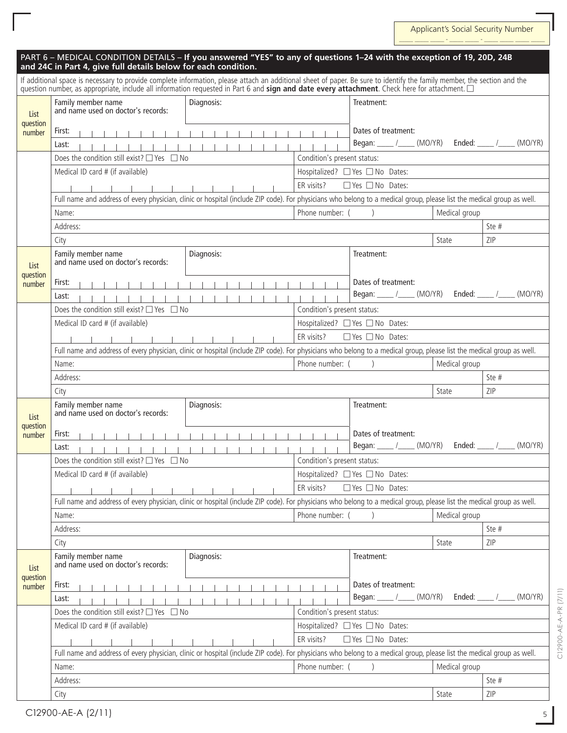| PART 6 - MEDICAL CONDITION DETAILS - If you answered "YES" to any of questions 1-24 with the exception of 19, 20D, 24B<br>and 24C in Part 4, give full details below for each condition.                                                                                                                                  |                                                                                                                                                                       |                             |                                 |               |                             |  |  |
|---------------------------------------------------------------------------------------------------------------------------------------------------------------------------------------------------------------------------------------------------------------------------------------------------------------------------|-----------------------------------------------------------------------------------------------------------------------------------------------------------------------|-----------------------------|---------------------------------|---------------|-----------------------------|--|--|
| If additional space is necessary to provide complete information, please attach an additional sheet of paper. Be sure to identify the family member, the section and the<br>question number, as appropriate, include all information requested in Part 6 and sign and date every attachment. Check here for attachment. □ |                                                                                                                                                                       |                             |                                 |               |                             |  |  |
| List                                                                                                                                                                                                                                                                                                                      | Diagnosis:<br>Family member name<br>and name used on doctor's records:                                                                                                |                             | Treatment:                      |               |                             |  |  |
| question<br>number                                                                                                                                                                                                                                                                                                        | First:                                                                                                                                                                |                             | Dates of treatment:             |               |                             |  |  |
|                                                                                                                                                                                                                                                                                                                           | Last:                                                                                                                                                                 |                             |                                 |               |                             |  |  |
|                                                                                                                                                                                                                                                                                                                           | Does the condition still exist? $\Box$ Yes $\Box$ No                                                                                                                  | Condition's present status: |                                 |               |                             |  |  |
|                                                                                                                                                                                                                                                                                                                           | Medical ID card # (if available)                                                                                                                                      |                             | Hospitalized? □ Yes □ No Dates: |               |                             |  |  |
|                                                                                                                                                                                                                                                                                                                           |                                                                                                                                                                       | ER visits?                  | $\Box$ Yes $\Box$ No Dates:     |               |                             |  |  |
|                                                                                                                                                                                                                                                                                                                           | Full name and address of every physician, clinic or hospital (include ZIP code). For physicians who belong to a medical group, please list the medical group as well. |                             |                                 |               |                             |  |  |
|                                                                                                                                                                                                                                                                                                                           | Name:                                                                                                                                                                 | Phone number: (             |                                 | Medical group |                             |  |  |
|                                                                                                                                                                                                                                                                                                                           | Address:                                                                                                                                                              |                             |                                 |               | Ste #                       |  |  |
|                                                                                                                                                                                                                                                                                                                           | City                                                                                                                                                                  |                             |                                 | State         | ZIP                         |  |  |
|                                                                                                                                                                                                                                                                                                                           | Diagnosis:<br>Family member name                                                                                                                                      |                             | Treatment:                      |               |                             |  |  |
| List                                                                                                                                                                                                                                                                                                                      | and name used on doctor's records:                                                                                                                                    |                             |                                 |               |                             |  |  |
| question<br>number                                                                                                                                                                                                                                                                                                        | First:                                                                                                                                                                |                             | Dates of treatment:             |               |                             |  |  |
|                                                                                                                                                                                                                                                                                                                           | Last:                                                                                                                                                                 |                             |                                 |               |                             |  |  |
|                                                                                                                                                                                                                                                                                                                           | Does the condition still exist? $\Box$ Yes $\Box$ No                                                                                                                  | Condition's present status: |                                 |               |                             |  |  |
|                                                                                                                                                                                                                                                                                                                           | Medical ID card # (if available)<br>Hospitalized? $\Box$ Yes $\Box$ No Dates:                                                                                         |                             |                                 |               |                             |  |  |
|                                                                                                                                                                                                                                                                                                                           |                                                                                                                                                                       | ER visits?                  | $\Box$ Yes $\Box$ No Dates:     |               |                             |  |  |
|                                                                                                                                                                                                                                                                                                                           | Full name and address of every physician, clinic or hospital (include ZIP code). For physicians who belong to a medical group, please list the medical group as well. |                             |                                 |               |                             |  |  |
|                                                                                                                                                                                                                                                                                                                           | Name:                                                                                                                                                                 | Phone number: (             |                                 | Medical group |                             |  |  |
|                                                                                                                                                                                                                                                                                                                           | Address:                                                                                                                                                              |                             |                                 |               | Ste#                        |  |  |
|                                                                                                                                                                                                                                                                                                                           | City                                                                                                                                                                  |                             |                                 | State         | ZIP                         |  |  |
|                                                                                                                                                                                                                                                                                                                           | Diagnosis:<br>Family member name                                                                                                                                      |                             | Treatment:                      |               |                             |  |  |
| List                                                                                                                                                                                                                                                                                                                      | and name used on doctor's records:                                                                                                                                    |                             |                                 |               |                             |  |  |
| question<br>number                                                                                                                                                                                                                                                                                                        | First:                                                                                                                                                                |                             | Dates of treatment:             |               |                             |  |  |
|                                                                                                                                                                                                                                                                                                                           | Last:                                                                                                                                                                 |                             | Began: $/$ (MO/YR)              |               | Ended: / (MO/YR)            |  |  |
|                                                                                                                                                                                                                                                                                                                           | Does the condition still exist? $\Box$ Yes $\Box$ No                                                                                                                  | Condition's present status: |                                 |               |                             |  |  |
|                                                                                                                                                                                                                                                                                                                           | Medical ID card # (if available)                                                                                                                                      |                             | Hospitalized? □ Yes □ No Dates: |               |                             |  |  |
|                                                                                                                                                                                                                                                                                                                           |                                                                                                                                                                       | ER visits?                  | $\Box$ Yes $\Box$ No Dates:     |               |                             |  |  |
|                                                                                                                                                                                                                                                                                                                           | Full name and address of every physician, clinic or hospital (include ZIP code). For physicians who belong to a medical group, please list the medical group as well. |                             |                                 |               |                             |  |  |
|                                                                                                                                                                                                                                                                                                                           | Name:                                                                                                                                                                 | Phone number: (             |                                 | Medical group |                             |  |  |
|                                                                                                                                                                                                                                                                                                                           | Address:                                                                                                                                                              |                             |                                 |               | Ste #                       |  |  |
|                                                                                                                                                                                                                                                                                                                           | City                                                                                                                                                                  |                             |                                 | State         | ZIP                         |  |  |
|                                                                                                                                                                                                                                                                                                                           | Diagnosis:<br>Family member name                                                                                                                                      |                             | Treatment:                      |               |                             |  |  |
| List                                                                                                                                                                                                                                                                                                                      | and name used on doctor's records:                                                                                                                                    |                             |                                 |               |                             |  |  |
| question<br>number                                                                                                                                                                                                                                                                                                        | First:                                                                                                                                                                |                             | Dates of treatment:             |               |                             |  |  |
|                                                                                                                                                                                                                                                                                                                           | Last:                                                                                                                                                                 |                             | Began: _____ /_____ (MO/YR)     |               | Ended: $\_\_\_\_\/$ (MO/YR) |  |  |
|                                                                                                                                                                                                                                                                                                                           | Does the condition still exist? $\Box$ Yes $\Box$ No                                                                                                                  | Condition's present status: |                                 |               |                             |  |  |
|                                                                                                                                                                                                                                                                                                                           | Medical ID card # (if available)                                                                                                                                      |                             | Hospitalized? □ Yes □ No Dates: |               |                             |  |  |
|                                                                                                                                                                                                                                                                                                                           |                                                                                                                                                                       | ER visits?                  | $\Box$ Yes $\Box$ No Dates:     |               |                             |  |  |
|                                                                                                                                                                                                                                                                                                                           | Full name and address of every physician, clinic or hospital (include ZIP code). For physicians who belong to a medical group, please list the medical group as well. |                             |                                 |               |                             |  |  |
|                                                                                                                                                                                                                                                                                                                           | Name:                                                                                                                                                                 | Phone number: (             |                                 | Medical group |                             |  |  |
|                                                                                                                                                                                                                                                                                                                           | Address:                                                                                                                                                              |                             |                                 |               | Ste#                        |  |  |
|                                                                                                                                                                                                                                                                                                                           | City                                                                                                                                                                  |                             |                                 | State         | ZIP                         |  |  |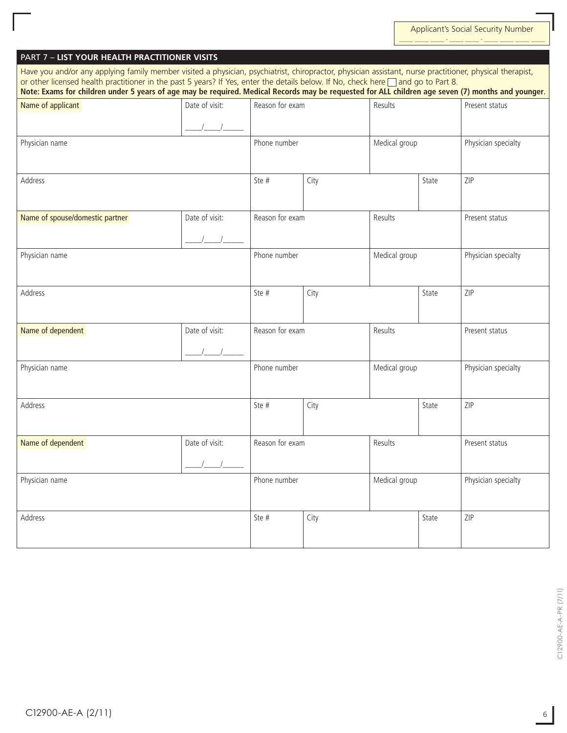| Have you and/or any applying family member visited a physician, psychiatrist, chiropractor, physician assistant, nurse practitioner, physical therapist,<br>or other licensed health practitioner in the past 5 years? If Yes, enter the details below. If No, check here and go to Part 8.<br>Note: Exams for children under 5 years of age may be required. Medical Records may be requested for ALL children age seven (7) months and younger. |                |                 |         |               |       |                     |  |
|---------------------------------------------------------------------------------------------------------------------------------------------------------------------------------------------------------------------------------------------------------------------------------------------------------------------------------------------------------------------------------------------------------------------------------------------------|----------------|-----------------|---------|---------------|-------|---------------------|--|
| Name of applicant                                                                                                                                                                                                                                                                                                                                                                                                                                 | Date of visit: | Reason for exam |         | Results       |       | Present status      |  |
| Physician name                                                                                                                                                                                                                                                                                                                                                                                                                                    |                | Phone number    |         | Medical group |       | Physician specialty |  |
| Address                                                                                                                                                                                                                                                                                                                                                                                                                                           |                | Ste #           | City    |               | State | ZIP                 |  |
| Name of spouse/domestic partner                                                                                                                                                                                                                                                                                                                                                                                                                   | Date of visit: | Reason for exam | Results |               |       | Present status      |  |
| Physician name                                                                                                                                                                                                                                                                                                                                                                                                                                    |                | Phone number    |         | Medical group |       | Physician specialty |  |
| Address                                                                                                                                                                                                                                                                                                                                                                                                                                           |                | Ste #           | City    |               | State | ZIP                 |  |
| Name of dependent                                                                                                                                                                                                                                                                                                                                                                                                                                 | Date of visit: | Reason for exam |         | Results       |       | Present status      |  |
| Physician name                                                                                                                                                                                                                                                                                                                                                                                                                                    |                | Phone number    |         | Medical group |       | Physician specialty |  |
| Address                                                                                                                                                                                                                                                                                                                                                                                                                                           |                | Ste #           | City    |               | State | ZIP                 |  |
| Name of dependent                                                                                                                                                                                                                                                                                                                                                                                                                                 | Date of visit: | Reason for exam |         | Results       |       | Present status      |  |
| Physician name                                                                                                                                                                                                                                                                                                                                                                                                                                    |                | Phone number    |         | Medical group |       | Physician specialty |  |
| Address                                                                                                                                                                                                                                                                                                                                                                                                                                           |                | Ste #           | City    |               | State | ZIP                 |  |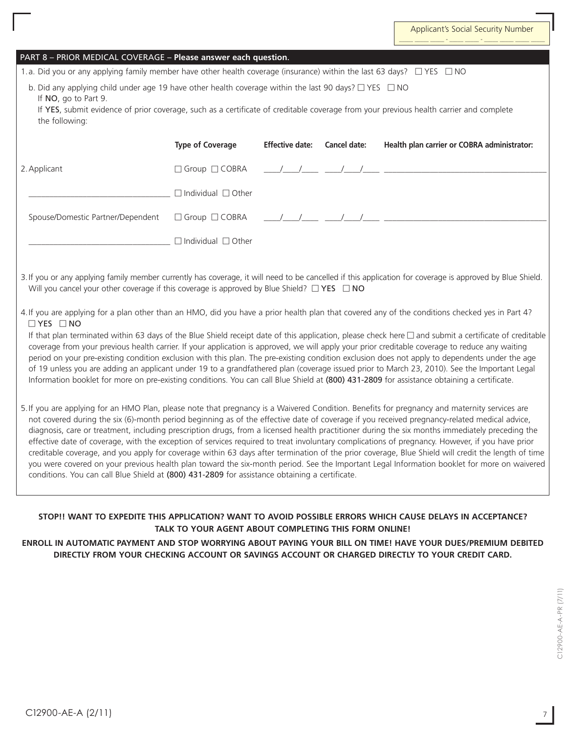| PART 8 - PRIOR MEDICAL COVERAGE - Please answer each question.                                                                                                                                                                                                                                                                                                                                                                                                                                                                                                                                                                                                                                                                                                                                                                                                                                                                                                                                             |                                |                        |              |                                                                                                                                                                                                                                                                                                                                                                                                                                                                                                                                                                                                                                                                                                                                                                      |  |  |
|------------------------------------------------------------------------------------------------------------------------------------------------------------------------------------------------------------------------------------------------------------------------------------------------------------------------------------------------------------------------------------------------------------------------------------------------------------------------------------------------------------------------------------------------------------------------------------------------------------------------------------------------------------------------------------------------------------------------------------------------------------------------------------------------------------------------------------------------------------------------------------------------------------------------------------------------------------------------------------------------------------|--------------------------------|------------------------|--------------|----------------------------------------------------------------------------------------------------------------------------------------------------------------------------------------------------------------------------------------------------------------------------------------------------------------------------------------------------------------------------------------------------------------------------------------------------------------------------------------------------------------------------------------------------------------------------------------------------------------------------------------------------------------------------------------------------------------------------------------------------------------------|--|--|
| 1.a. Did you or any applying family member have other health coverage (insurance) within the last 63 days? $\Box$ YES $\Box$ NO                                                                                                                                                                                                                                                                                                                                                                                                                                                                                                                                                                                                                                                                                                                                                                                                                                                                            |                                |                        |              |                                                                                                                                                                                                                                                                                                                                                                                                                                                                                                                                                                                                                                                                                                                                                                      |  |  |
| b. Did any applying child under age 19 have other health coverage within the last 90 days? $\Box$ YES $\Box$ NO<br>If NO, go to Part 9.<br>the following:                                                                                                                                                                                                                                                                                                                                                                                                                                                                                                                                                                                                                                                                                                                                                                                                                                                  |                                |                        |              | If YES, submit evidence of prior coverage, such as a certificate of creditable coverage from your previous health carrier and complete                                                                                                                                                                                                                                                                                                                                                                                                                                                                                                                                                                                                                               |  |  |
|                                                                                                                                                                                                                                                                                                                                                                                                                                                                                                                                                                                                                                                                                                                                                                                                                                                                                                                                                                                                            | <b>Type of Coverage</b>        | <b>Effective date:</b> | Cancel date: | Health plan carrier or COBRA administrator:                                                                                                                                                                                                                                                                                                                                                                                                                                                                                                                                                                                                                                                                                                                          |  |  |
| 2. Applicant                                                                                                                                                                                                                                                                                                                                                                                                                                                                                                                                                                                                                                                                                                                                                                                                                                                                                                                                                                                               | □ Group □ COBRA                |                        |              |                                                                                                                                                                                                                                                                                                                                                                                                                                                                                                                                                                                                                                                                                                                                                                      |  |  |
|                                                                                                                                                                                                                                                                                                                                                                                                                                                                                                                                                                                                                                                                                                                                                                                                                                                                                                                                                                                                            | $\Box$ Individual $\Box$ Other |                        |              |                                                                                                                                                                                                                                                                                                                                                                                                                                                                                                                                                                                                                                                                                                                                                                      |  |  |
| Spouse/Domestic Partner/Dependent                                                                                                                                                                                                                                                                                                                                                                                                                                                                                                                                                                                                                                                                                                                                                                                                                                                                                                                                                                          | □ Group □ COBRA                |                        |              |                                                                                                                                                                                                                                                                                                                                                                                                                                                                                                                                                                                                                                                                                                                                                                      |  |  |
|                                                                                                                                                                                                                                                                                                                                                                                                                                                                                                                                                                                                                                                                                                                                                                                                                                                                                                                                                                                                            | $\Box$ Individual $\Box$ Other |                        |              |                                                                                                                                                                                                                                                                                                                                                                                                                                                                                                                                                                                                                                                                                                                                                                      |  |  |
| Will you cancel your other coverage if this coverage is approved by Blue Shield? $\square$ YES $\square$ NO<br>$\Box$ YES $\Box$ NO<br>Information booklet for more on pre-existing conditions. You can call Blue Shield at (800) 431-2809 for assistance obtaining a certificate.                                                                                                                                                                                                                                                                                                                                                                                                                                                                                                                                                                                                                                                                                                                         |                                |                        |              | 4. If you are applying for a plan other than an HMO, did you have a prior health plan that covered any of the conditions checked yes in Part 4?<br>If that plan terminated within 63 days of the Blue Shield receipt date of this application, please check here $\Box$ and submit a certificate of creditable<br>coverage from your previous health carrier. If your application is approved, we will apply your prior creditable coverage to reduce any waiting<br>period on your pre-existing condition exclusion with this plan. The pre-existing condition exclusion does not apply to dependents under the age<br>of 19 unless you are adding an applicant under 19 to a grandfathered plan (coverage issued prior to March 23, 2010). See the Important Legal |  |  |
| 5. If you are applying for an HMO Plan, please note that pregnancy is a Waivered Condition. Benefits for pregnancy and maternity services are<br>not covered during the six (6)-month period beginning as of the effective date of coverage if you received pregnancy-related medical advice,<br>diagnosis, care or treatment, including prescription drugs, from a licensed health practitioner during the six months immediately preceding the<br>effective date of coverage, with the exception of services required to treat involuntary complications of pregnancy. However, if you have prior<br>creditable coverage, and you apply for coverage within 63 days after termination of the prior coverage, Blue Shield will credit the length of time<br>you were covered on your previous health plan toward the six-month period. See the Important Legal Information booklet for more on waivered<br>conditions. You can call Blue Shield at (800) 431-2809 for assistance obtaining a certificate. |                                |                        |              |                                                                                                                                                                                                                                                                                                                                                                                                                                                                                                                                                                                                                                                                                                                                                                      |  |  |
| STOP!! WANT TO EXPEDITE THIS APPLICATION? WANT TO AVOID POSSIBLE ERRORS WHICH CAUSE DELAYS IN ACCEPTANCE?<br>TALK TO YOUR AGENT ABOUT COMPLETING THIS FORM ONLINE!                                                                                                                                                                                                                                                                                                                                                                                                                                                                                                                                                                                                                                                                                                                                                                                                                                         |                                |                        |              |                                                                                                                                                                                                                                                                                                                                                                                                                                                                                                                                                                                                                                                                                                                                                                      |  |  |

**ENROLL IN AUTOMATIC PAYMENT AND stop WORRYing ABOUT PAYING YOUR BILL ON TIME! HAVE YOUR DUES/PREMIUM DEBITED DIRECTLY FROM YOUR CHECKING ACCOUNT or SAVINGS ACCOUNT or CHARGED DIRECTLY TO YOUR CREDIT CARD.**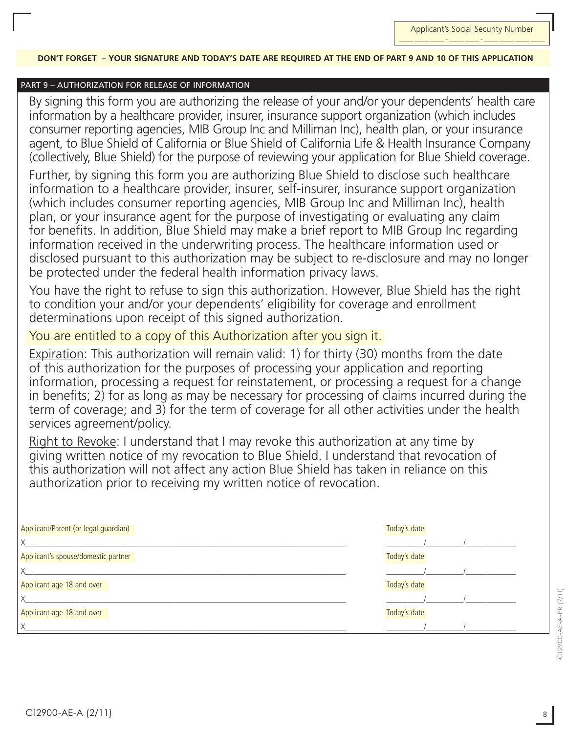#### **DON'T FORGET – YOUR SIGNATURE and today's date are REQUIRED at the end of PART 9 and 10 OF THIS APPLICATION**

### PART 9 – authorization for release of information

By signing this form you are authorizing the release of your and/or your dependents' health care information by a healthcare provider, insurer, insurance support organization (which includes consumer reporting agencies, MIB Group Inc and Milliman Inc), health plan, or your insurance agent, to Blue Shield of California or Blue Shield of California Life & Health Insurance Company (collectively, Blue Shield) for the purpose of reviewing your application for Blue Shield coverage.

Further, by signing this form you are authorizing Blue Shield to disclose such healthcare information to a healthcare provider, insurer, self-insurer, insurance support organization (which includes consumer reporting agencies, MIB Group Inc and Milliman Inc), health plan, or your insurance agent for the purpose of investigating or evaluating any claim for benefits. In addition, Blue Shield may make a brief report to MIB Group Inc regarding information received in the underwriting process. The healthcare information used or disclosed pursuant to this authorization may be subject to re-disclosure and may no longer be protected under the federal health information privacy laws.

You have the right to refuse to sign this authorization. However, Blue Shield has the right to condition your and/or your dependents' eligibility for coverage and enrollment determinations upon receipt of this signed authorization.

### You are entitled to a copy of this Authorization after you sign it.

Expiration: This authorization will remain valid: 1) for thirty (30) months from the date of this authorization for the purposes of processing your application and reporting information, processing a request for reinstatement, or processing a request for a change in benefits; 2) for as long as may be necessary for processing of claims incurred during the term of coverage; and  $3$ ) for the term of coverage for all other activities under the health services agreement/policy.

Right to Revoke: I understand that I may revoke this authorization at any time by giving written notice of my revocation to Blue Shield. I understand that revocation of this authorization will not affect any action Blue Shield has taken in reliance on this authorization prior to receiving my written notice of revocation.

| Applicant/Parent (or legal guardian) | Today's date |
|--------------------------------------|--------------|
| X                                    |              |
| Applicant's spouse/domestic partner  | Today's date |
| X                                    |              |
| Applicant age 18 and over            | Today's date |
| X                                    |              |
| Applicant age 18 and over            | Today's date |
| $\times$                             |              |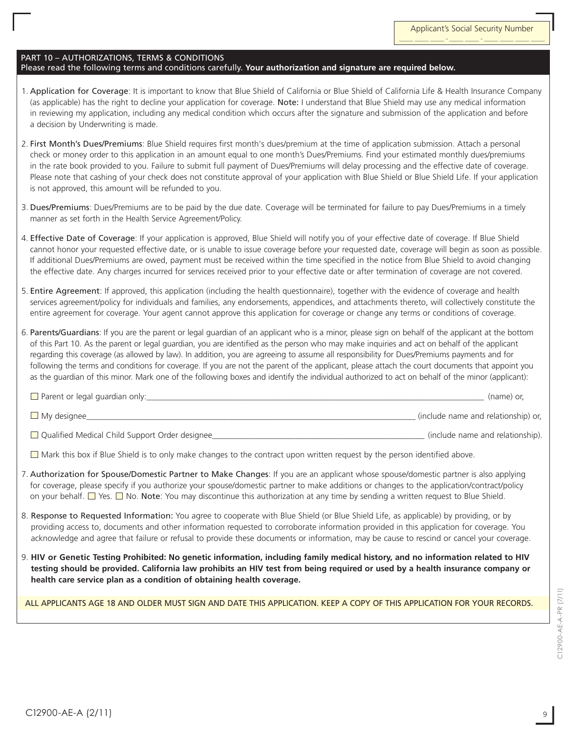### PART 10 – AUTHORIZATIONS, TERMS & CONDITIONS

#### Please read the following terms and conditions carefully. **Your authorization and signature are required below.**

- 1. Application for Coverage: It is important to know that Blue Shield of California or Blue Shield of California Life & Health Insurance Company (as applicable) has the right to decline your application for coverage. Note: I understand that Blue Shield may use any medical information in reviewing my application, including any medical condition which occurs after the signature and submission of the application and before a decision by Underwriting is made.
- 2. First Month's Dues/Premiums: Blue Shield requires first month's dues/premium at the time of application submission. Attach a personal check or money order to this application in an amount equal to one month's Dues/Premiums. Find your estimated monthly dues/premiums in the rate book provided to you. Failure to submit full payment of Dues/Premiums will delay processing and the effective date of coverage. Please note that cashing of your check does not constitute approval of your application with Blue Shield or Blue Shield Life. If your application is not approved, this amount will be refunded to you.
- 3. Dues/Premiums: Dues/Premiums are to be paid by the due date. Coverage will be terminated for failure to pay Dues/Premiums in a timely manner as set forth in the Health Service Agreement/Policy.
- 4. Effective Date of Coverage: If your application is approved, Blue Shield will notify you of your effective date of coverage. If Blue Shield cannot honor your requested effective date, or is unable to issue coverage before your requested date, coverage will begin as soon as possible. If additional Dues/Premiums are owed, payment must be received within the time specified in the notice from Blue Shield to avoid changing the effective date. Any charges incurred for services received prior to your effective date or after termination of coverage are not covered.
- 5. Entire Agreement: If approved, this application (including the health questionnaire), together with the evidence of coverage and health services agreement/policy for individuals and families, any endorsements, appendices, and attachments thereto, will collectively constitute the entire agreement for coverage. Your agent cannot approve this application for coverage or change any terms or conditions of coverage.
- 6. Parents/Guardians: If you are the parent or legal guardian of an applicant who is a minor, please sign on behalf of the applicant at the bottom of this Part 10. As the parent or legal guardian, you are identified as the person who may make inquiries and act on behalf of the applicant regarding this coverage (as allowed by law). In addition, you are agreeing to assume all responsibility for Dues/Premiums payments and for following the terms and conditions for coverage. If you are not the parent of the applicant, please attach the court documents that appoint you as the guardian of this minor. Mark one of the following boxes and identify the individual authorized to act on behalf of the minor (applicant):

| $\Box$ Parent or legal guardian only:            | (name) or.                          |
|--------------------------------------------------|-------------------------------------|
| $\Box$ My designee                               | (include name and relationship) or, |
| □ Qualified Medical Child Support Order designee | (include name and relationship).    |

 $\Box$  Mark this box if Blue Shield is to only make changes to the contract upon written request by the person identified above.

- 7. Authorization for Spouse/Domestic Partner to Make Changes: If you are an applicant whose spouse/domestic partner is also applying for coverage, please specify if you authorize your spouse/domestic partner to make additions or changes to the application/contract/policy on your behalf. <sup>1</sup> Yes. **No. Note:** You may discontinue this authorization at any time by sending a written request to Blue Shield.
- 8. Response to Requested Information: You agree to cooperate with Blue Shield (or Blue Shield Life, as applicable) by providing, or by providing access to, documents and other information requested to corroborate information provided in this application for coverage. You acknowledge and agree that failure or refusal to provide these documents or information, may be cause to rescind or cancel your coverage.
- 9. **HIV or Genetic Testing Prohibited: No genetic information, including family medical history, and no information related to HIV testing should be provided. California law prohibits an HIV test from being required or used by a health insurance company or health care service plan as a condition of obtaining health coverage.**

ALL APPLICANTS AGE 18 AND OLDER MUST SIGN AND DATE THIS APPLICATION. KEEP A COPY OF THIS APPLICATION FOR YOUR RECORDS.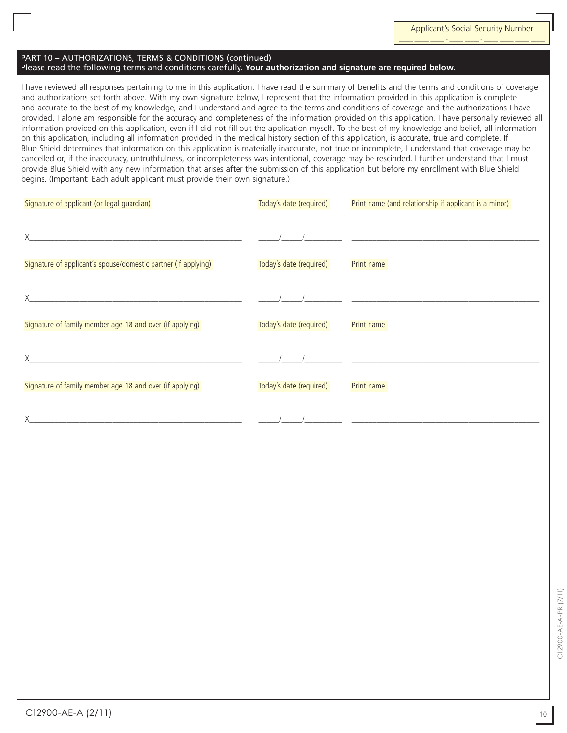#### PART 10 – AUTHORIZATIONS, TERMS & CONDITIONS (continued) Please read the following terms and conditions carefully. **Your authorization and signature are required below.**

I have reviewed all responses pertaining to me in this application. I have read the summary of benefits and the terms and conditions of coverage and authorizations set forth above. With my own signature below, I represent that the information provided in this application is complete and accurate to the best of my knowledge, and I understand and agree to the terms and conditions of coverage and the authorizations I have provided. I alone am responsible for the accuracy and completeness of the information provided on this application. I have personally reviewed all information provided on this application, even if I did not fill out the application myself. To the best of my knowledge and belief, all information on this application, including all information provided in the medical history section of this application, is accurate, true and complete. If Blue Shield determines that information on this application is materially inaccurate, not true or incomplete, I understand that coverage may be cancelled or, if the inaccuracy, untruthfulness, or incompleteness was intentional, coverage may be rescinded. I further understand that I must provide Blue Shield with any new information that arises after the submission of this application but before my enrollment with Blue Shield begins. (Important: Each adult applicant must provide their own signature.)

| Signature of applicant (or legal guardian)                     | Today's date (required) | Print name (and relationship if applicant is a minor) |
|----------------------------------------------------------------|-------------------------|-------------------------------------------------------|
|                                                                |                         |                                                       |
|                                                                |                         |                                                       |
| Signature of applicant's spouse/domestic partner (if applying) | Today's date (required) | Print name                                            |
|                                                                |                         |                                                       |
|                                                                |                         |                                                       |
| Signature of family member age 18 and over (if applying)       | Today's date (required) | Print name                                            |
|                                                                |                         |                                                       |
|                                                                |                         |                                                       |
| Signature of family member age 18 and over (if applying)       | Today's date (required) | Print name                                            |
|                                                                |                         |                                                       |
| <u> 1980 - Johann Stein, fransk politiker (d. 1980)</u>        |                         |                                                       |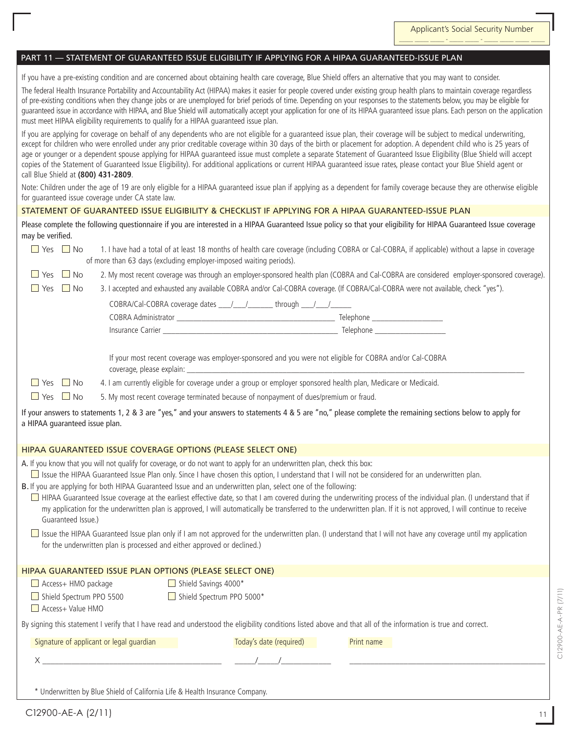Applicant's Social Security Number \_\_\_\_\_ \_\_\_\_\_ \_\_\_\_\_ - \_\_\_\_\_ \_\_\_\_\_ - \_\_\_\_\_ \_\_\_\_\_ \_\_\_\_\_ \_\_\_\_\_

#### PART 11 — Statement of Guaranteed Issue ELIGIBILITY IF APPLYING FOR A HIPAA Guaranteed-Issue PLAN

If you have a pre-existing condition and are concerned about obtaining health care coverage, Blue Shield offers an alternative that you may want to consider.

The federal Health Insurance Portability and Accountability Act (HIPAA) makes it easier for people covered under existing group health plans to maintain coverage regardless of pre-existing conditions when they change jobs or are unemployed for brief periods of time. Depending on your responses to the statements below, you may be eligible for guaranteed issue in accordance with HIPAA, and Blue Shield will automatically accept your application for one of its HIPAA guaranteed issue plans. Each person on the application must meet HIPAA eligibility requirements to qualify for a HIPAA guaranteed issue plan.

If you are applying for coverage on behalf of any dependents who are not eligible for a guaranteed issue plan, their coverage will be subject to medical underwriting, except for children who were enrolled under any prior creditable coverage within 30 days of the birth or placement for adoption. A dependent child who is 25 years of age or younger or a dependent spouse applying for HIPAA guaranteed issue must complete a separate Statement of Guaranteed Issue Eligibility (Blue Shield will accept copies of the Statement of Guaranteed Issue Eligibility). For additional applications or current HIPAA guaranteed issue rates, please contact your Blue Shield agent or call Blue Shield at **(800) 431-2809**.

Note: Children under the age of 19 are only eligible for a HIPAA guaranteed issue plan if applying as a dependent for family coverage because they are otherwise eligible for guaranteed issue coverage under CA state law.

### Statement of Guaranteed Issue Eligibility & Checklist IF APPLYING FOR A HIPAA Guaranteed-Issue PLAN

Please complete the following questionnaire if you are interested in a HIPAA Guaranteed Issue policy so that your eligibility for HIPAA Guaranteed Issue coverage may be verified.

| $\blacksquare$ Yes $\blacksquare$ No | of more than 63 days (excluding employer-imposed waiting periods).                                                       |                         | 1. I have had a total of at least 18 months of health care coverage (including COBRA or Cal-COBRA, if applicable) without a lapse in coverage                         |
|--------------------------------------|--------------------------------------------------------------------------------------------------------------------------|-------------------------|-----------------------------------------------------------------------------------------------------------------------------------------------------------------------|
| $\Box$ No<br>$\Box$ Yes              |                                                                                                                          |                         | 2. My most recent coverage was through an employer-sponsored health plan (COBRA and Cal-COBRA are considered employer-sponsored coverage).                            |
| $\Box$ No<br>$\Box$ Yes              |                                                                                                                          |                         | 3. I accepted and exhausted any available COBRA and/or Cal-COBRA coverage. (If COBRA/Cal-COBRA were not available, check "yes").                                      |
|                                      | COBRA/Cal-COBRA coverage dates ____/____/_________ through ____/____/___________                                         |                         |                                                                                                                                                                       |
|                                      |                                                                                                                          |                         |                                                                                                                                                                       |
|                                      |                                                                                                                          |                         |                                                                                                                                                                       |
|                                      |                                                                                                                          |                         |                                                                                                                                                                       |
|                                      | If your most recent coverage was employer-sponsored and you were not eligible for COBRA and/or Cal-COBRA                 |                         |                                                                                                                                                                       |
| $\Box$ Yes $\Box$ No                 | 4. I am currently eligible for coverage under a group or employer sponsored health plan, Medicare or Medicaid.           |                         |                                                                                                                                                                       |
| $\Box$ Yes $\Box$ No                 | 5. My most recent coverage terminated because of nonpayment of dues/premium or fraud.                                    |                         |                                                                                                                                                                       |
| a HIPAA guaranteed issue plan.       |                                                                                                                          |                         | If your answers to statements 1, 2 & 3 are "yes," and your answers to statements 4 & 5 are "no," please complete the remaining sections below to apply for            |
|                                      | HIPAA GUARANTEED ISSUE COVERAGE OPTIONS (PLEASE SELECT ONE)                                                              |                         |                                                                                                                                                                       |
|                                      | A. If you know that you will not qualify for coverage, or do not want to apply for an underwritten plan, check this box: |                         |                                                                                                                                                                       |
|                                      |                                                                                                                          |                         | □ Issue the HIPAA Guaranteed Issue Plan only. Since I have chosen this option, I understand that I will not be considered for an underwritten plan.                   |
|                                      | B. If you are applying for both HIPAA Guaranteed Issue and an underwritten plan, select one of the following:            |                         | □ HIPAA Guaranteed Issue coverage at the earliest effective date, so that I am covered during the underwriting process of the individual plan. (I understand that if  |
| Guaranteed Issue.)                   |                                                                                                                          |                         | my application for the underwritten plan is approved, I will automatically be transferred to the underwritten plan. If it is not approved, I will continue to receive |
|                                      |                                                                                                                          |                         | □ Issue the HIPAA Guaranteed Issue plan only if I am not approved for the underwritten plan. (I understand that I will not have any coverage until my application     |
|                                      | for the underwritten plan is processed and either approved or declined.)                                                 |                         |                                                                                                                                                                       |
|                                      |                                                                                                                          |                         |                                                                                                                                                                       |
|                                      | HIPAA GUARANTEED ISSUE PLAN OPTIONS (PLEASE SELECT ONE)                                                                  |                         |                                                                                                                                                                       |
| Access+ HMO package                  | Shield Savings 4000*                                                                                                     |                         |                                                                                                                                                                       |
| Shield Spectrum PPO 5500             | Shield Spectrum PPO 5000*                                                                                                |                         |                                                                                                                                                                       |
| Access+ Value HMO                    |                                                                                                                          |                         |                                                                                                                                                                       |
|                                      |                                                                                                                          |                         | By signing this statement I verify that I have read and understood the eligibility conditions listed above and that all of the information is true and correct.       |
|                                      | Signature of applicant or legal guardian                                                                                 | Today's date (required) | Print name                                                                                                                                                            |
|                                      | $X \sim 1$                                                                                                               |                         |                                                                                                                                                                       |
|                                      |                                                                                                                          |                         |                                                                                                                                                                       |

\* Underwritten by Blue Shield of California Life & Health Insurance Company.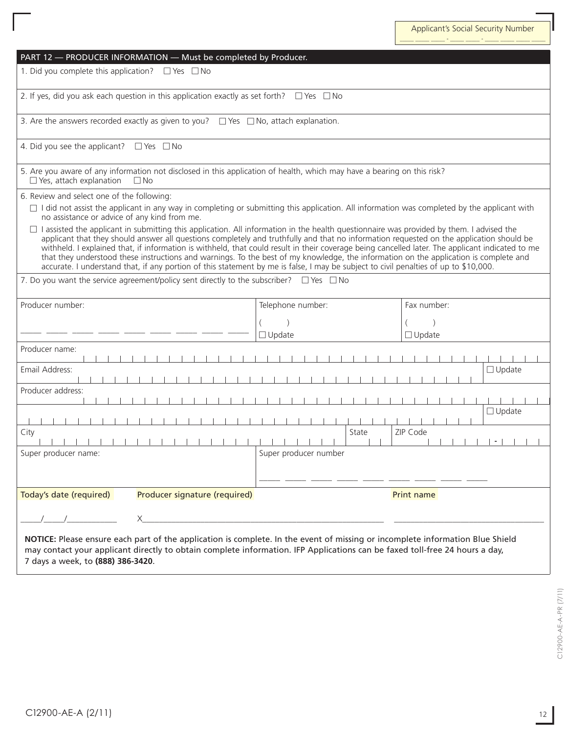|                                                                                                                                                                                                                                                                                                                                                                                                                                                                                                                                                                                                                                                                                                                             | PART 12 - PRODUCER INFORMATION - Must be completed by Producer.                                     |                                                                                                                                                                                                                                                              |               |  |
|-----------------------------------------------------------------------------------------------------------------------------------------------------------------------------------------------------------------------------------------------------------------------------------------------------------------------------------------------------------------------------------------------------------------------------------------------------------------------------------------------------------------------------------------------------------------------------------------------------------------------------------------------------------------------------------------------------------------------------|-----------------------------------------------------------------------------------------------------|--------------------------------------------------------------------------------------------------------------------------------------------------------------------------------------------------------------------------------------------------------------|---------------|--|
| 1. Did you complete this application? $\Box$ Yes $\Box$ No                                                                                                                                                                                                                                                                                                                                                                                                                                                                                                                                                                                                                                                                  |                                                                                                     |                                                                                                                                                                                                                                                              |               |  |
|                                                                                                                                                                                                                                                                                                                                                                                                                                                                                                                                                                                                                                                                                                                             | 2. If yes, did you ask each question in this application exactly as set forth? $\Box$ Yes $\Box$ No |                                                                                                                                                                                                                                                              |               |  |
|                                                                                                                                                                                                                                                                                                                                                                                                                                                                                                                                                                                                                                                                                                                             | 3. Are the answers recorded exactly as given to you? $\Box$ Yes $\Box$ No, attach explanation.      |                                                                                                                                                                                                                                                              |               |  |
| 4. Did you see the applicant? $\Box$ Yes $\Box$ No                                                                                                                                                                                                                                                                                                                                                                                                                                                                                                                                                                                                                                                                          |                                                                                                     |                                                                                                                                                                                                                                                              |               |  |
| 5. Are you aware of any information not disclosed in this application of health, which may have a bearing on this risk?<br>$\Box$ Yes, attach explanation<br>$\Box$ No                                                                                                                                                                                                                                                                                                                                                                                                                                                                                                                                                      |                                                                                                     |                                                                                                                                                                                                                                                              |               |  |
| 6. Review and select one of the following:                                                                                                                                                                                                                                                                                                                                                                                                                                                                                                                                                                                                                                                                                  |                                                                                                     |                                                                                                                                                                                                                                                              |               |  |
| $\Box$ I did not assist the applicant in any way in completing or submitting this application. All information was completed by the applicant with<br>no assistance or advice of any kind from me.                                                                                                                                                                                                                                                                                                                                                                                                                                                                                                                          |                                                                                                     |                                                                                                                                                                                                                                                              |               |  |
| □ I assisted the applicant in submitting this application. All information in the health questionnaire was provided by them. I advised the<br>applicant that they should answer all questions completely and truthfully and that no information requested on the application should be<br>withheld. I explained that, if information is withheld, that could result in their coverage being cancelled later. The applicant indicated to me<br>that they understood these instructions and warnings. To the best of my knowledge, the information on the application is complete and<br>accurate. I understand that, if any portion of this statement by me is false, I may be subject to civil penalties of up to \$10,000. |                                                                                                     |                                                                                                                                                                                                                                                              |               |  |
| 7. Do you want the service agreement/policy sent directly to the subscriber? $\Box$ Yes $\Box$ No                                                                                                                                                                                                                                                                                                                                                                                                                                                                                                                                                                                                                           |                                                                                                     |                                                                                                                                                                                                                                                              |               |  |
| Producer number:                                                                                                                                                                                                                                                                                                                                                                                                                                                                                                                                                                                                                                                                                                            |                                                                                                     | Telephone number:                                                                                                                                                                                                                                            | Fax number:   |  |
|                                                                                                                                                                                                                                                                                                                                                                                                                                                                                                                                                                                                                                                                                                                             |                                                                                                     |                                                                                                                                                                                                                                                              |               |  |
|                                                                                                                                                                                                                                                                                                                                                                                                                                                                                                                                                                                                                                                                                                                             |                                                                                                     | $\Box$ Update                                                                                                                                                                                                                                                | $\Box$ Update |  |
| Producer name:                                                                                                                                                                                                                                                                                                                                                                                                                                                                                                                                                                                                                                                                                                              |                                                                                                     |                                                                                                                                                                                                                                                              |               |  |
| Email Address:                                                                                                                                                                                                                                                                                                                                                                                                                                                                                                                                                                                                                                                                                                              |                                                                                                     |                                                                                                                                                                                                                                                              | $\Box$ Update |  |
|                                                                                                                                                                                                                                                                                                                                                                                                                                                                                                                                                                                                                                                                                                                             |                                                                                                     |                                                                                                                                                                                                                                                              |               |  |
| Producer address:<br>$\Box$ Update                                                                                                                                                                                                                                                                                                                                                                                                                                                                                                                                                                                                                                                                                          |                                                                                                     |                                                                                                                                                                                                                                                              |               |  |
|                                                                                                                                                                                                                                                                                                                                                                                                                                                                                                                                                                                                                                                                                                                             |                                                                                                     |                                                                                                                                                                                                                                                              |               |  |
| City                                                                                                                                                                                                                                                                                                                                                                                                                                                                                                                                                                                                                                                                                                                        |                                                                                                     | State                                                                                                                                                                                                                                                        | ZIP Code      |  |
| Super producer name:                                                                                                                                                                                                                                                                                                                                                                                                                                                                                                                                                                                                                                                                                                        |                                                                                                     | Super producer number                                                                                                                                                                                                                                        |               |  |
|                                                                                                                                                                                                                                                                                                                                                                                                                                                                                                                                                                                                                                                                                                                             |                                                                                                     |                                                                                                                                                                                                                                                              |               |  |
| Today's date (required)                                                                                                                                                                                                                                                                                                                                                                                                                                                                                                                                                                                                                                                                                                     | Producer signature (required)                                                                       |                                                                                                                                                                                                                                                              | Print name    |  |
|                                                                                                                                                                                                                                                                                                                                                                                                                                                                                                                                                                                                                                                                                                                             |                                                                                                     | the control of the control of the control of the control of the control of                                                                                                                                                                                   |               |  |
|                                                                                                                                                                                                                                                                                                                                                                                                                                                                                                                                                                                                                                                                                                                             |                                                                                                     | NOTICE: Please ensure each part of the application is complete. In the event of missing or incomplete information Blue Shield<br>may contact your applicant directly to obtain complete information. IFP Applications can be faxed toll-free 24 hours a day, |               |  |

7 days a week, to **(888) 386-3420**.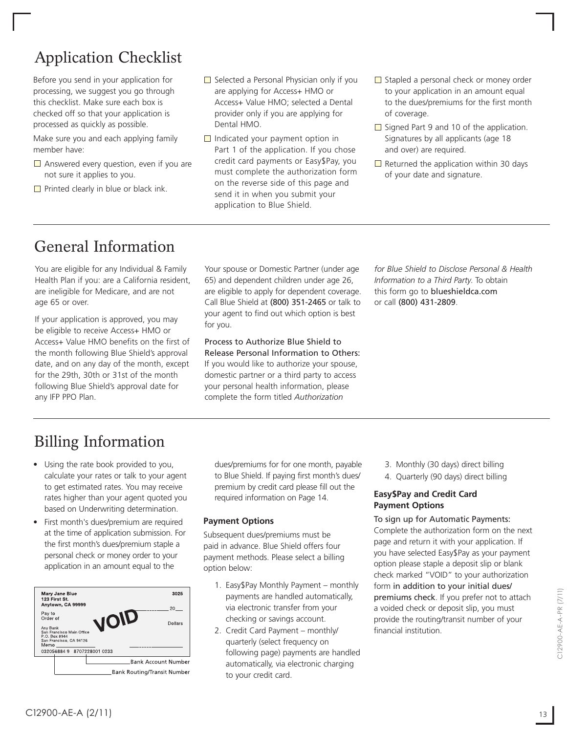## Application Checklist

Before you send in your application for processing, we suggest you go through this checklist. Make sure each box is checked off so that your application is processed as quickly as possible.

Make sure you and each applying family member have:

- $\Box$  Answered every question, even if you are not sure it applies to you.
- $\Box$  Printed clearly in blue or black ink.
- $\Box$  Selected a Personal Physician only if you are applying for Access+ HMO or Access+ Value HMO; selected a Dental provider only if you are applying for Dental HMO.
- $\Box$  Indicated your payment option in Part 1 of the application. If you chose credit card payments or Easy\$Pay, you must complete the authorization form on the reverse side of this page and send it in when you submit your application to Blue Shield.
- $\Box$  Stapled a personal check or money order to your application in an amount equal to the dues/premiums for the first month of coverage.
- $\Box$  Signed Part 9 and 10 of the application. Signatures by all applicants (age 18 and over) are required.
- $\Box$  Returned the application within 30 days of your date and signature.

## General Information

You are eligible for any Individual & Family Health Plan if you: are a California resident, are ineligible for Medicare, and are not age 65 or over.

If your application is approved, you may be eligible to receive Access+ HMO or Access+ Value HMO benefits on the first of the month following Blue Shield's approval date, and on any day of the month, except for the 29th, 30th or 31st of the month following Blue Shield's approval date for any IFP PPO Plan.

Your spouse or Domestic Partner (under age 65) and dependent children under age 26, are eligible to apply for dependent coverage. Call Blue Shield at (800) 351-2465 or talk to your agent to find out which option is best for you.

Process to Authorize Blue Shield to Release Personal Information to Others: If you would like to authorize your spouse, domestic partner or a third party to access your personal health information, please complete the form titled *Authorization* 

*for Blue Shield to Disclose Personal & Health Information to a Third Party*. To obtain this form go to blueshieldca.com or call (800) 431-2809.

## Billing Information

- Using the rate book provided to you, calculate your rates or talk to your agent to get estimated rates. You may receive rates higher than your agent quoted you based on Underwriting determination.
- First month's dues/premium are required at the time of application submission. For the first month's dues/premium staple a personal check or money order to your application in an amount equal to the



dues/premiums for for one month, payable to Blue Shield. If paying first month's dues/ premium by credit card please fill out the required information on Page 14.

### **Payment Options**

Subsequent dues/premiums must be paid in advance. Blue Shield offers four payment methods. Please select a billing option below:

- 1. Easy\$Pay Monthly Payment monthly payments are handled automatically, via electronic transfer from your checking or savings account.
- 2. Credit Card Payment monthly/ quarterly (select frequency on following page) payments are handled automatically, via electronic charging to your credit card.
- 3. Monthly (30 days) direct billing
- 4. Quarterly (90 days) direct billing

### **Easy\$Pay and Credit Card Payment Options**

#### To sign up for Automatic Payments:

Complete the authorization form on the next page and return it with your application. If you have selected Easy\$Pay as your payment option please staple a deposit slip or blank check marked "VOID" to your authorization form in addition to your initial dues/ premiums check. If you prefer not to attach a voided check or deposit slip, you must provide the routing/transit number of your financial institution.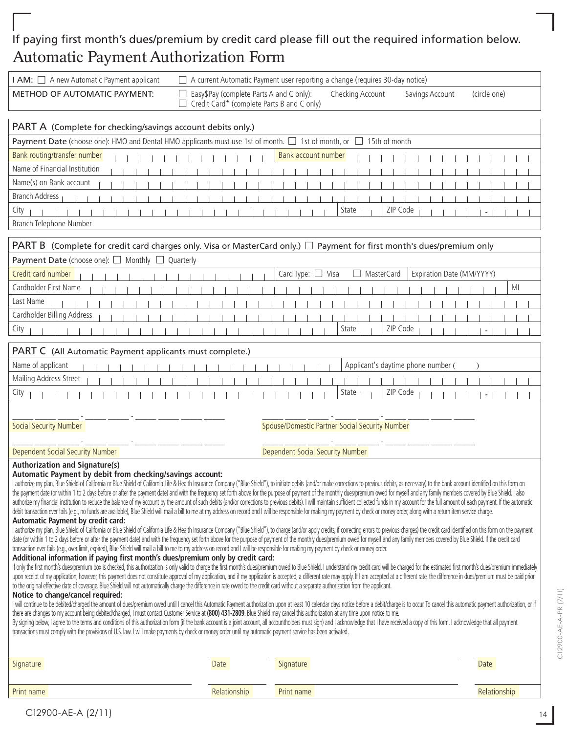### If paying first month's dues/premium by credit card please fill out the required information below. Automatic Payment Authorization Form

| I AM: $\Box$ A new Automatic Payment applicant                                                                                                                                                                                                                                                                                                                                                                                                                                                                                                                                                                                                                                                                                                                                                                                                                                                                                                                                                                                                                                                                                                                                                                                                                                                                                                                                                                                                                                                                                                                                                                                                                                                                                                                                                                                                                                                                                                                                                                                                                                                                                                                                                                                                                                                                                                                                                                                                                                                                                                                                                                                                                                                                                                                                                                                                                                                                                                                                                                                                                                                                                                                                                                                                                                                                                   |                                                                                         | $\Box$ A current Automatic Payment user reporting a change (requires 30-day notice) |                                    |
|----------------------------------------------------------------------------------------------------------------------------------------------------------------------------------------------------------------------------------------------------------------------------------------------------------------------------------------------------------------------------------------------------------------------------------------------------------------------------------------------------------------------------------------------------------------------------------------------------------------------------------------------------------------------------------------------------------------------------------------------------------------------------------------------------------------------------------------------------------------------------------------------------------------------------------------------------------------------------------------------------------------------------------------------------------------------------------------------------------------------------------------------------------------------------------------------------------------------------------------------------------------------------------------------------------------------------------------------------------------------------------------------------------------------------------------------------------------------------------------------------------------------------------------------------------------------------------------------------------------------------------------------------------------------------------------------------------------------------------------------------------------------------------------------------------------------------------------------------------------------------------------------------------------------------------------------------------------------------------------------------------------------------------------------------------------------------------------------------------------------------------------------------------------------------------------------------------------------------------------------------------------------------------------------------------------------------------------------------------------------------------------------------------------------------------------------------------------------------------------------------------------------------------------------------------------------------------------------------------------------------------------------------------------------------------------------------------------------------------------------------------------------------------------------------------------------------------------------------------------------------------------------------------------------------------------------------------------------------------------------------------------------------------------------------------------------------------------------------------------------------------------------------------------------------------------------------------------------------------------------------------------------------------------------------------------------------------|-----------------------------------------------------------------------------------------|-------------------------------------------------------------------------------------|------------------------------------|
| <b>METHOD OF AUTOMATIC PAYMENT:</b>                                                                                                                                                                                                                                                                                                                                                                                                                                                                                                                                                                                                                                                                                                                                                                                                                                                                                                                                                                                                                                                                                                                                                                                                                                                                                                                                                                                                                                                                                                                                                                                                                                                                                                                                                                                                                                                                                                                                                                                                                                                                                                                                                                                                                                                                                                                                                                                                                                                                                                                                                                                                                                                                                                                                                                                                                                                                                                                                                                                                                                                                                                                                                                                                                                                                                              | Easy \$Pay (complete Parts A and C only):<br>Credit Card* (complete Parts B and C only) | Checking Account                                                                    | (circle one)<br>Savings Account    |
| PART A (Complete for checking/savings account debits only.)                                                                                                                                                                                                                                                                                                                                                                                                                                                                                                                                                                                                                                                                                                                                                                                                                                                                                                                                                                                                                                                                                                                                                                                                                                                                                                                                                                                                                                                                                                                                                                                                                                                                                                                                                                                                                                                                                                                                                                                                                                                                                                                                                                                                                                                                                                                                                                                                                                                                                                                                                                                                                                                                                                                                                                                                                                                                                                                                                                                                                                                                                                                                                                                                                                                                      |                                                                                         |                                                                                     |                                    |
| Payment Date (choose one): HMO and Dental HMO applicants must use 1st of month. □ 1st of month, or □ 15th of month                                                                                                                                                                                                                                                                                                                                                                                                                                                                                                                                                                                                                                                                                                                                                                                                                                                                                                                                                                                                                                                                                                                                                                                                                                                                                                                                                                                                                                                                                                                                                                                                                                                                                                                                                                                                                                                                                                                                                                                                                                                                                                                                                                                                                                                                                                                                                                                                                                                                                                                                                                                                                                                                                                                                                                                                                                                                                                                                                                                                                                                                                                                                                                                                               |                                                                                         |                                                                                     |                                    |
| Bank routing/transfer number                                                                                                                                                                                                                                                                                                                                                                                                                                                                                                                                                                                                                                                                                                                                                                                                                                                                                                                                                                                                                                                                                                                                                                                                                                                                                                                                                                                                                                                                                                                                                                                                                                                                                                                                                                                                                                                                                                                                                                                                                                                                                                                                                                                                                                                                                                                                                                                                                                                                                                                                                                                                                                                                                                                                                                                                                                                                                                                                                                                                                                                                                                                                                                                                                                                                                                     |                                                                                         | Bank account number                                                                 |                                    |
| Name of Financial Institution                                                                                                                                                                                                                                                                                                                                                                                                                                                                                                                                                                                                                                                                                                                                                                                                                                                                                                                                                                                                                                                                                                                                                                                                                                                                                                                                                                                                                                                                                                                                                                                                                                                                                                                                                                                                                                                                                                                                                                                                                                                                                                                                                                                                                                                                                                                                                                                                                                                                                                                                                                                                                                                                                                                                                                                                                                                                                                                                                                                                                                                                                                                                                                                                                                                                                                    |                                                                                         |                                                                                     |                                    |
| Name(s) on Bank account                                                                                                                                                                                                                                                                                                                                                                                                                                                                                                                                                                                                                                                                                                                                                                                                                                                                                                                                                                                                                                                                                                                                                                                                                                                                                                                                                                                                                                                                                                                                                                                                                                                                                                                                                                                                                                                                                                                                                                                                                                                                                                                                                                                                                                                                                                                                                                                                                                                                                                                                                                                                                                                                                                                                                                                                                                                                                                                                                                                                                                                                                                                                                                                                                                                                                                          |                                                                                         |                                                                                     |                                    |
| <b>Branch Address</b>                                                                                                                                                                                                                                                                                                                                                                                                                                                                                                                                                                                                                                                                                                                                                                                                                                                                                                                                                                                                                                                                                                                                                                                                                                                                                                                                                                                                                                                                                                                                                                                                                                                                                                                                                                                                                                                                                                                                                                                                                                                                                                                                                                                                                                                                                                                                                                                                                                                                                                                                                                                                                                                                                                                                                                                                                                                                                                                                                                                                                                                                                                                                                                                                                                                                                                            |                                                                                         |                                                                                     |                                    |
| City                                                                                                                                                                                                                                                                                                                                                                                                                                                                                                                                                                                                                                                                                                                                                                                                                                                                                                                                                                                                                                                                                                                                                                                                                                                                                                                                                                                                                                                                                                                                                                                                                                                                                                                                                                                                                                                                                                                                                                                                                                                                                                                                                                                                                                                                                                                                                                                                                                                                                                                                                                                                                                                                                                                                                                                                                                                                                                                                                                                                                                                                                                                                                                                                                                                                                                                             |                                                                                         | State                                                                               | ZIP Code                           |
| Branch Telephone Number                                                                                                                                                                                                                                                                                                                                                                                                                                                                                                                                                                                                                                                                                                                                                                                                                                                                                                                                                                                                                                                                                                                                                                                                                                                                                                                                                                                                                                                                                                                                                                                                                                                                                                                                                                                                                                                                                                                                                                                                                                                                                                                                                                                                                                                                                                                                                                                                                                                                                                                                                                                                                                                                                                                                                                                                                                                                                                                                                                                                                                                                                                                                                                                                                                                                                                          |                                                                                         |                                                                                     |                                    |
| <b>PART B</b> (Complete for credit card charges only. Visa or MasterCard only.) $\Box$ Payment for first month's dues/premium only                                                                                                                                                                                                                                                                                                                                                                                                                                                                                                                                                                                                                                                                                                                                                                                                                                                                                                                                                                                                                                                                                                                                                                                                                                                                                                                                                                                                                                                                                                                                                                                                                                                                                                                                                                                                                                                                                                                                                                                                                                                                                                                                                                                                                                                                                                                                                                                                                                                                                                                                                                                                                                                                                                                                                                                                                                                                                                                                                                                                                                                                                                                                                                                               |                                                                                         |                                                                                     |                                    |
| Payment Date (choose one): □ Monthly □ Quarterly                                                                                                                                                                                                                                                                                                                                                                                                                                                                                                                                                                                                                                                                                                                                                                                                                                                                                                                                                                                                                                                                                                                                                                                                                                                                                                                                                                                                                                                                                                                                                                                                                                                                                                                                                                                                                                                                                                                                                                                                                                                                                                                                                                                                                                                                                                                                                                                                                                                                                                                                                                                                                                                                                                                                                                                                                                                                                                                                                                                                                                                                                                                                                                                                                                                                                 |                                                                                         |                                                                                     |                                    |
| Credit card number                                                                                                                                                                                                                                                                                                                                                                                                                                                                                                                                                                                                                                                                                                                                                                                                                                                                                                                                                                                                                                                                                                                                                                                                                                                                                                                                                                                                                                                                                                                                                                                                                                                                                                                                                                                                                                                                                                                                                                                                                                                                                                                                                                                                                                                                                                                                                                                                                                                                                                                                                                                                                                                                                                                                                                                                                                                                                                                                                                                                                                                                                                                                                                                                                                                                                                               |                                                                                         | Card Type: □ Visa<br><b>MasterCard</b>                                              | Expiration Date (MM/YYYY)          |
| Cardholder First Name                                                                                                                                                                                                                                                                                                                                                                                                                                                                                                                                                                                                                                                                                                                                                                                                                                                                                                                                                                                                                                                                                                                                                                                                                                                                                                                                                                                                                                                                                                                                                                                                                                                                                                                                                                                                                                                                                                                                                                                                                                                                                                                                                                                                                                                                                                                                                                                                                                                                                                                                                                                                                                                                                                                                                                                                                                                                                                                                                                                                                                                                                                                                                                                                                                                                                                            |                                                                                         |                                                                                     | MI                                 |
| Last Name                                                                                                                                                                                                                                                                                                                                                                                                                                                                                                                                                                                                                                                                                                                                                                                                                                                                                                                                                                                                                                                                                                                                                                                                                                                                                                                                                                                                                                                                                                                                                                                                                                                                                                                                                                                                                                                                                                                                                                                                                                                                                                                                                                                                                                                                                                                                                                                                                                                                                                                                                                                                                                                                                                                                                                                                                                                                                                                                                                                                                                                                                                                                                                                                                                                                                                                        |                                                                                         |                                                                                     |                                    |
| Cardholder Billing Address                                                                                                                                                                                                                                                                                                                                                                                                                                                                                                                                                                                                                                                                                                                                                                                                                                                                                                                                                                                                                                                                                                                                                                                                                                                                                                                                                                                                                                                                                                                                                                                                                                                                                                                                                                                                                                                                                                                                                                                                                                                                                                                                                                                                                                                                                                                                                                                                                                                                                                                                                                                                                                                                                                                                                                                                                                                                                                                                                                                                                                                                                                                                                                                                                                                                                                       |                                                                                         |                                                                                     |                                    |
| City                                                                                                                                                                                                                                                                                                                                                                                                                                                                                                                                                                                                                                                                                                                                                                                                                                                                                                                                                                                                                                                                                                                                                                                                                                                                                                                                                                                                                                                                                                                                                                                                                                                                                                                                                                                                                                                                                                                                                                                                                                                                                                                                                                                                                                                                                                                                                                                                                                                                                                                                                                                                                                                                                                                                                                                                                                                                                                                                                                                                                                                                                                                                                                                                                                                                                                                             |                                                                                         | State                                                                               | ZIP Code                           |
| PART C (All Automatic Payment applicants must complete.)                                                                                                                                                                                                                                                                                                                                                                                                                                                                                                                                                                                                                                                                                                                                                                                                                                                                                                                                                                                                                                                                                                                                                                                                                                                                                                                                                                                                                                                                                                                                                                                                                                                                                                                                                                                                                                                                                                                                                                                                                                                                                                                                                                                                                                                                                                                                                                                                                                                                                                                                                                                                                                                                                                                                                                                                                                                                                                                                                                                                                                                                                                                                                                                                                                                                         |                                                                                         |                                                                                     |                                    |
| Name of applicant                                                                                                                                                                                                                                                                                                                                                                                                                                                                                                                                                                                                                                                                                                                                                                                                                                                                                                                                                                                                                                                                                                                                                                                                                                                                                                                                                                                                                                                                                                                                                                                                                                                                                                                                                                                                                                                                                                                                                                                                                                                                                                                                                                                                                                                                                                                                                                                                                                                                                                                                                                                                                                                                                                                                                                                                                                                                                                                                                                                                                                                                                                                                                                                                                                                                                                                |                                                                                         |                                                                                     | Applicant's daytime phone number ( |
| Mailing Address Street                                                                                                                                                                                                                                                                                                                                                                                                                                                                                                                                                                                                                                                                                                                                                                                                                                                                                                                                                                                                                                                                                                                                                                                                                                                                                                                                                                                                                                                                                                                                                                                                                                                                                                                                                                                                                                                                                                                                                                                                                                                                                                                                                                                                                                                                                                                                                                                                                                                                                                                                                                                                                                                                                                                                                                                                                                                                                                                                                                                                                                                                                                                                                                                                                                                                                                           |                                                                                         |                                                                                     |                                    |
| City                                                                                                                                                                                                                                                                                                                                                                                                                                                                                                                                                                                                                                                                                                                                                                                                                                                                                                                                                                                                                                                                                                                                                                                                                                                                                                                                                                                                                                                                                                                                                                                                                                                                                                                                                                                                                                                                                                                                                                                                                                                                                                                                                                                                                                                                                                                                                                                                                                                                                                                                                                                                                                                                                                                                                                                                                                                                                                                                                                                                                                                                                                                                                                                                                                                                                                                             |                                                                                         | State                                                                               | ZIP Code                           |
|                                                                                                                                                                                                                                                                                                                                                                                                                                                                                                                                                                                                                                                                                                                                                                                                                                                                                                                                                                                                                                                                                                                                                                                                                                                                                                                                                                                                                                                                                                                                                                                                                                                                                                                                                                                                                                                                                                                                                                                                                                                                                                                                                                                                                                                                                                                                                                                                                                                                                                                                                                                                                                                                                                                                                                                                                                                                                                                                                                                                                                                                                                                                                                                                                                                                                                                                  |                                                                                         |                                                                                     |                                    |
| <b>Social Security Number</b>                                                                                                                                                                                                                                                                                                                                                                                                                                                                                                                                                                                                                                                                                                                                                                                                                                                                                                                                                                                                                                                                                                                                                                                                                                                                                                                                                                                                                                                                                                                                                                                                                                                                                                                                                                                                                                                                                                                                                                                                                                                                                                                                                                                                                                                                                                                                                                                                                                                                                                                                                                                                                                                                                                                                                                                                                                                                                                                                                                                                                                                                                                                                                                                                                                                                                                    |                                                                                         | Spouse/Domestic Partner Social Security Number                                      |                                    |
|                                                                                                                                                                                                                                                                                                                                                                                                                                                                                                                                                                                                                                                                                                                                                                                                                                                                                                                                                                                                                                                                                                                                                                                                                                                                                                                                                                                                                                                                                                                                                                                                                                                                                                                                                                                                                                                                                                                                                                                                                                                                                                                                                                                                                                                                                                                                                                                                                                                                                                                                                                                                                                                                                                                                                                                                                                                                                                                                                                                                                                                                                                                                                                                                                                                                                                                                  |                                                                                         |                                                                                     |                                    |
| <b>Dependent Social Security Number</b><br><b>Authorization and Signature(s)</b>                                                                                                                                                                                                                                                                                                                                                                                                                                                                                                                                                                                                                                                                                                                                                                                                                                                                                                                                                                                                                                                                                                                                                                                                                                                                                                                                                                                                                                                                                                                                                                                                                                                                                                                                                                                                                                                                                                                                                                                                                                                                                                                                                                                                                                                                                                                                                                                                                                                                                                                                                                                                                                                                                                                                                                                                                                                                                                                                                                                                                                                                                                                                                                                                                                                 |                                                                                         | Dependent Social Security Number                                                    |                                    |
| Automatic Payment by debit from checking/savings account:<br>I authorize my plan, Blue Shield of California or Blue Shield of California Life & Health Insurance Company ("Blue Shield"), to initiate debits (and/or make corrections to previous debits, as necessary) to the bank account<br>the payment date (or within 1 to 2 days before or after the payment date) and with the frequency set forth above for the purpose of payment of the monthly dues/premium owed for myself and any family members covered by Blue<br>authorize my financial institution to reduce the balance of my account by the amount of such debits (and/or corrections to previous debits). I will maintain sufficient collected funds in my account for the full amount of e<br>debit transaction ever fails (e.q., no funds are available), Blue Shield will mail a bill to me at my address on record and I will be responsible for making my payment by check or money order, along with a return item serv<br><b>Automatic Payment by credit card:</b><br>I authorize my plan, Blue Shield of California or Blue Shield of California Life & Health Insurance Company ("Blue Shield"), to charge (and/or apply credits, if correcting errors to previous charges) the credit card identi<br>date (or within 1 to 2 days before or after the payment date) and with the frequency set forth above for the purpose of payment of the monthly dues/premium owed for myself and any family members covered by Blue Shield. If<br>transaction ever fails (e.g., over limit, expired), Blue Shield will mail a bill to me to my address on record and I will be responsible for making my payment by check or money order.<br>Additional information if paying first month's dues/premium only by credit card:<br>If only the first month's dues/premium box is checked, this authorization is only valid to charge the first month's dues/premium owed to Blue Shield. I understand my credit card will be charged for the estimated first mont<br>upon receipt of my application; however, this payment does not constitute approval of my application, and if my application is accepted, a different rate may apply. If I am accepted at a different rate, the difference in d<br>to the original effective date of coverage. Blue Shield will not automatically charge the difference in rate owed to the credit card without a separate authorization from the applicant.<br>Notice to change/cancel required:<br>I will continue to be debited/charged the amount of dues/premium owed until I cancel this Automatic Payment authorization upon at least 10 calendar days notice before a debit/charge is to occur. To cancel this automatic pa<br>there are changes to my account being debited/charged, I must contact Customer Service at (800) 431-2809. Blue Shield may cancel this authorization at any time upon notice to me.<br>By signing below, I agree to the terms and conditions of this authorization form (if the bank account is a joint account, all accountholders must sign) and I acknowledge that I have received a copy of this form. I acknowle<br>transactions must comply with the provisions of U.S. law. I will make payments by check or money order until my automatic payment service has been activated. |                                                                                         |                                                                                     |                                    |
| Signature                                                                                                                                                                                                                                                                                                                                                                                                                                                                                                                                                                                                                                                                                                                                                                                                                                                                                                                                                                                                                                                                                                                                                                                                                                                                                                                                                                                                                                                                                                                                                                                                                                                                                                                                                                                                                                                                                                                                                                                                                                                                                                                                                                                                                                                                                                                                                                                                                                                                                                                                                                                                                                                                                                                                                                                                                                                                                                                                                                                                                                                                                                                                                                                                                                                                                                                        | Date                                                                                    | Signature                                                                           | Date                               |

Print name and Relationship Relationship Print name **Relationship** Print name Relationship Relationship Relationship

C12900-AE-A-PR (7/11)

C12900-AE-A-PR (7/11)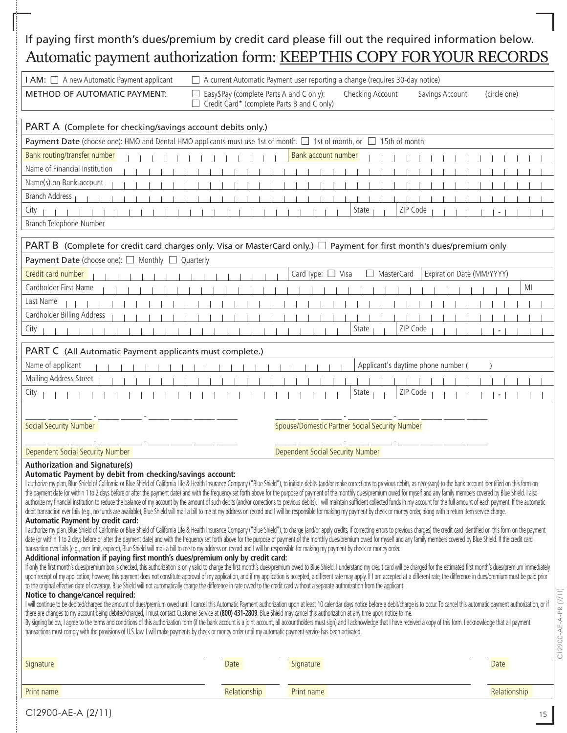## If paying first month's dues/premium by credit card please fill out the required information below. Automatic payment authorization form: KEEP THIS COPY FOR YOUR RECORDS

| I AM: A new Automatic Payment applicant                                                                                                                                                                                                                                                                                                                                                                                                                                                                                                                                                                                                                                                                                                                                                                                                                                                                                                                                                                                                                                                                                                                                                                                                                                                                                                                                                                                                                                                                                                                                                                                                                                                                                                                                                                                                                                                                                                                                                                                                                                                                                                                                                                                                                                                                                                                                                                                                                                                                                                                                                                                                                                                                                                                                                                                                                                                                                                                                                                                                                                                                                                                                                                                                                                                                                                                            |                                                                                        | A current Automatic Payment user reporting a change (requires 30-day notice) |                                    |
|--------------------------------------------------------------------------------------------------------------------------------------------------------------------------------------------------------------------------------------------------------------------------------------------------------------------------------------------------------------------------------------------------------------------------------------------------------------------------------------------------------------------------------------------------------------------------------------------------------------------------------------------------------------------------------------------------------------------------------------------------------------------------------------------------------------------------------------------------------------------------------------------------------------------------------------------------------------------------------------------------------------------------------------------------------------------------------------------------------------------------------------------------------------------------------------------------------------------------------------------------------------------------------------------------------------------------------------------------------------------------------------------------------------------------------------------------------------------------------------------------------------------------------------------------------------------------------------------------------------------------------------------------------------------------------------------------------------------------------------------------------------------------------------------------------------------------------------------------------------------------------------------------------------------------------------------------------------------------------------------------------------------------------------------------------------------------------------------------------------------------------------------------------------------------------------------------------------------------------------------------------------------------------------------------------------------------------------------------------------------------------------------------------------------------------------------------------------------------------------------------------------------------------------------------------------------------------------------------------------------------------------------------------------------------------------------------------------------------------------------------------------------------------------------------------------------------------------------------------------------------------------------------------------------------------------------------------------------------------------------------------------------------------------------------------------------------------------------------------------------------------------------------------------------------------------------------------------------------------------------------------------------------------------------------------------------------------------------------------------------|----------------------------------------------------------------------------------------|------------------------------------------------------------------------------|------------------------------------|
| METHOD OF AUTOMATIC PAYMENT:                                                                                                                                                                                                                                                                                                                                                                                                                                                                                                                                                                                                                                                                                                                                                                                                                                                                                                                                                                                                                                                                                                                                                                                                                                                                                                                                                                                                                                                                                                                                                                                                                                                                                                                                                                                                                                                                                                                                                                                                                                                                                                                                                                                                                                                                                                                                                                                                                                                                                                                                                                                                                                                                                                                                                                                                                                                                                                                                                                                                                                                                                                                                                                                                                                                                                                                                       | Easy\$Pay (complete Parts A and C only):<br>Credit Card* (complete Parts B and C only) | Checking Account                                                             | Savings Account<br>(circle one)    |
| PART A (Complete for checking/savings account debits only.)                                                                                                                                                                                                                                                                                                                                                                                                                                                                                                                                                                                                                                                                                                                                                                                                                                                                                                                                                                                                                                                                                                                                                                                                                                                                                                                                                                                                                                                                                                                                                                                                                                                                                                                                                                                                                                                                                                                                                                                                                                                                                                                                                                                                                                                                                                                                                                                                                                                                                                                                                                                                                                                                                                                                                                                                                                                                                                                                                                                                                                                                                                                                                                                                                                                                                                        |                                                                                        |                                                                              |                                    |
| Payment Date (choose one): HMO and Dental HMO applicants must use 1st of month. $\Box$ 1st of month, or $\Box$                                                                                                                                                                                                                                                                                                                                                                                                                                                                                                                                                                                                                                                                                                                                                                                                                                                                                                                                                                                                                                                                                                                                                                                                                                                                                                                                                                                                                                                                                                                                                                                                                                                                                                                                                                                                                                                                                                                                                                                                                                                                                                                                                                                                                                                                                                                                                                                                                                                                                                                                                                                                                                                                                                                                                                                                                                                                                                                                                                                                                                                                                                                                                                                                                                                     |                                                                                        | 15th of month                                                                |                                    |
| Bank routing/transfer number                                                                                                                                                                                                                                                                                                                                                                                                                                                                                                                                                                                                                                                                                                                                                                                                                                                                                                                                                                                                                                                                                                                                                                                                                                                                                                                                                                                                                                                                                                                                                                                                                                                                                                                                                                                                                                                                                                                                                                                                                                                                                                                                                                                                                                                                                                                                                                                                                                                                                                                                                                                                                                                                                                                                                                                                                                                                                                                                                                                                                                                                                                                                                                                                                                                                                                                                       |                                                                                        | Bank account number                                                          |                                    |
| Name of Financial Institution                                                                                                                                                                                                                                                                                                                                                                                                                                                                                                                                                                                                                                                                                                                                                                                                                                                                                                                                                                                                                                                                                                                                                                                                                                                                                                                                                                                                                                                                                                                                                                                                                                                                                                                                                                                                                                                                                                                                                                                                                                                                                                                                                                                                                                                                                                                                                                                                                                                                                                                                                                                                                                                                                                                                                                                                                                                                                                                                                                                                                                                                                                                                                                                                                                                                                                                                      |                                                                                        |                                                                              |                                    |
| Name(s) on Bank account                                                                                                                                                                                                                                                                                                                                                                                                                                                                                                                                                                                                                                                                                                                                                                                                                                                                                                                                                                                                                                                                                                                                                                                                                                                                                                                                                                                                                                                                                                                                                                                                                                                                                                                                                                                                                                                                                                                                                                                                                                                                                                                                                                                                                                                                                                                                                                                                                                                                                                                                                                                                                                                                                                                                                                                                                                                                                                                                                                                                                                                                                                                                                                                                                                                                                                                                            |                                                                                        |                                                                              |                                    |
| <b>Branch Address</b>                                                                                                                                                                                                                                                                                                                                                                                                                                                                                                                                                                                                                                                                                                                                                                                                                                                                                                                                                                                                                                                                                                                                                                                                                                                                                                                                                                                                                                                                                                                                                                                                                                                                                                                                                                                                                                                                                                                                                                                                                                                                                                                                                                                                                                                                                                                                                                                                                                                                                                                                                                                                                                                                                                                                                                                                                                                                                                                                                                                                                                                                                                                                                                                                                                                                                                                                              |                                                                                        |                                                                              |                                    |
| City                                                                                                                                                                                                                                                                                                                                                                                                                                                                                                                                                                                                                                                                                                                                                                                                                                                                                                                                                                                                                                                                                                                                                                                                                                                                                                                                                                                                                                                                                                                                                                                                                                                                                                                                                                                                                                                                                                                                                                                                                                                                                                                                                                                                                                                                                                                                                                                                                                                                                                                                                                                                                                                                                                                                                                                                                                                                                                                                                                                                                                                                                                                                                                                                                                                                                                                                                               |                                                                                        | State                                                                        | ZIP Code                           |
| Branch Telephone Number                                                                                                                                                                                                                                                                                                                                                                                                                                                                                                                                                                                                                                                                                                                                                                                                                                                                                                                                                                                                                                                                                                                                                                                                                                                                                                                                                                                                                                                                                                                                                                                                                                                                                                                                                                                                                                                                                                                                                                                                                                                                                                                                                                                                                                                                                                                                                                                                                                                                                                                                                                                                                                                                                                                                                                                                                                                                                                                                                                                                                                                                                                                                                                                                                                                                                                                                            |                                                                                        |                                                                              |                                    |
| PART B (Complete for credit card charges only. Visa or MasterCard only.) $\Box$ Payment for first month's dues/premium only                                                                                                                                                                                                                                                                                                                                                                                                                                                                                                                                                                                                                                                                                                                                                                                                                                                                                                                                                                                                                                                                                                                                                                                                                                                                                                                                                                                                                                                                                                                                                                                                                                                                                                                                                                                                                                                                                                                                                                                                                                                                                                                                                                                                                                                                                                                                                                                                                                                                                                                                                                                                                                                                                                                                                                                                                                                                                                                                                                                                                                                                                                                                                                                                                                        |                                                                                        |                                                                              |                                    |
| Payment Date (choose one): □ Monthly □ Quarterly                                                                                                                                                                                                                                                                                                                                                                                                                                                                                                                                                                                                                                                                                                                                                                                                                                                                                                                                                                                                                                                                                                                                                                                                                                                                                                                                                                                                                                                                                                                                                                                                                                                                                                                                                                                                                                                                                                                                                                                                                                                                                                                                                                                                                                                                                                                                                                                                                                                                                                                                                                                                                                                                                                                                                                                                                                                                                                                                                                                                                                                                                                                                                                                                                                                                                                                   |                                                                                        |                                                                              |                                    |
| Credit card number                                                                                                                                                                                                                                                                                                                                                                                                                                                                                                                                                                                                                                                                                                                                                                                                                                                                                                                                                                                                                                                                                                                                                                                                                                                                                                                                                                                                                                                                                                                                                                                                                                                                                                                                                                                                                                                                                                                                                                                                                                                                                                                                                                                                                                                                                                                                                                                                                                                                                                                                                                                                                                                                                                                                                                                                                                                                                                                                                                                                                                                                                                                                                                                                                                                                                                                                                 |                                                                                        | Card Type: □ Visa<br>MasterCard                                              | Expiration Date (MM/YYYY)          |
| Cardholder First Name                                                                                                                                                                                                                                                                                                                                                                                                                                                                                                                                                                                                                                                                                                                                                                                                                                                                                                                                                                                                                                                                                                                                                                                                                                                                                                                                                                                                                                                                                                                                                                                                                                                                                                                                                                                                                                                                                                                                                                                                                                                                                                                                                                                                                                                                                                                                                                                                                                                                                                                                                                                                                                                                                                                                                                                                                                                                                                                                                                                                                                                                                                                                                                                                                                                                                                                                              |                                                                                        |                                                                              | МI                                 |
| Last Name                                                                                                                                                                                                                                                                                                                                                                                                                                                                                                                                                                                                                                                                                                                                                                                                                                                                                                                                                                                                                                                                                                                                                                                                                                                                                                                                                                                                                                                                                                                                                                                                                                                                                                                                                                                                                                                                                                                                                                                                                                                                                                                                                                                                                                                                                                                                                                                                                                                                                                                                                                                                                                                                                                                                                                                                                                                                                                                                                                                                                                                                                                                                                                                                                                                                                                                                                          |                                                                                        |                                                                              |                                    |
| Cardholder Billing Address                                                                                                                                                                                                                                                                                                                                                                                                                                                                                                                                                                                                                                                                                                                                                                                                                                                                                                                                                                                                                                                                                                                                                                                                                                                                                                                                                                                                                                                                                                                                                                                                                                                                                                                                                                                                                                                                                                                                                                                                                                                                                                                                                                                                                                                                                                                                                                                                                                                                                                                                                                                                                                                                                                                                                                                                                                                                                                                                                                                                                                                                                                                                                                                                                                                                                                                                         |                                                                                        |                                                                              |                                    |
| City                                                                                                                                                                                                                                                                                                                                                                                                                                                                                                                                                                                                                                                                                                                                                                                                                                                                                                                                                                                                                                                                                                                                                                                                                                                                                                                                                                                                                                                                                                                                                                                                                                                                                                                                                                                                                                                                                                                                                                                                                                                                                                                                                                                                                                                                                                                                                                                                                                                                                                                                                                                                                                                                                                                                                                                                                                                                                                                                                                                                                                                                                                                                                                                                                                                                                                                                                               |                                                                                        | State                                                                        | ZIP Code                           |
| PART C (All Automatic Payment applicants must complete.)                                                                                                                                                                                                                                                                                                                                                                                                                                                                                                                                                                                                                                                                                                                                                                                                                                                                                                                                                                                                                                                                                                                                                                                                                                                                                                                                                                                                                                                                                                                                                                                                                                                                                                                                                                                                                                                                                                                                                                                                                                                                                                                                                                                                                                                                                                                                                                                                                                                                                                                                                                                                                                                                                                                                                                                                                                                                                                                                                                                                                                                                                                                                                                                                                                                                                                           |                                                                                        |                                                                              |                                    |
| Name of applicant                                                                                                                                                                                                                                                                                                                                                                                                                                                                                                                                                                                                                                                                                                                                                                                                                                                                                                                                                                                                                                                                                                                                                                                                                                                                                                                                                                                                                                                                                                                                                                                                                                                                                                                                                                                                                                                                                                                                                                                                                                                                                                                                                                                                                                                                                                                                                                                                                                                                                                                                                                                                                                                                                                                                                                                                                                                                                                                                                                                                                                                                                                                                                                                                                                                                                                                                                  |                                                                                        |                                                                              | Applicant's daytime phone number ( |
| Mailing Address Street                                                                                                                                                                                                                                                                                                                                                                                                                                                                                                                                                                                                                                                                                                                                                                                                                                                                                                                                                                                                                                                                                                                                                                                                                                                                                                                                                                                                                                                                                                                                                                                                                                                                                                                                                                                                                                                                                                                                                                                                                                                                                                                                                                                                                                                                                                                                                                                                                                                                                                                                                                                                                                                                                                                                                                                                                                                                                                                                                                                                                                                                                                                                                                                                                                                                                                                                             |                                                                                        |                                                                              |                                    |
| City                                                                                                                                                                                                                                                                                                                                                                                                                                                                                                                                                                                                                                                                                                                                                                                                                                                                                                                                                                                                                                                                                                                                                                                                                                                                                                                                                                                                                                                                                                                                                                                                                                                                                                                                                                                                                                                                                                                                                                                                                                                                                                                                                                                                                                                                                                                                                                                                                                                                                                                                                                                                                                                                                                                                                                                                                                                                                                                                                                                                                                                                                                                                                                                                                                                                                                                                                               |                                                                                        | State                                                                        | ZIP Code                           |
|                                                                                                                                                                                                                                                                                                                                                                                                                                                                                                                                                                                                                                                                                                                                                                                                                                                                                                                                                                                                                                                                                                                                                                                                                                                                                                                                                                                                                                                                                                                                                                                                                                                                                                                                                                                                                                                                                                                                                                                                                                                                                                                                                                                                                                                                                                                                                                                                                                                                                                                                                                                                                                                                                                                                                                                                                                                                                                                                                                                                                                                                                                                                                                                                                                                                                                                                                                    |                                                                                        |                                                                              |                                    |
| Social Security Number                                                                                                                                                                                                                                                                                                                                                                                                                                                                                                                                                                                                                                                                                                                                                                                                                                                                                                                                                                                                                                                                                                                                                                                                                                                                                                                                                                                                                                                                                                                                                                                                                                                                                                                                                                                                                                                                                                                                                                                                                                                                                                                                                                                                                                                                                                                                                                                                                                                                                                                                                                                                                                                                                                                                                                                                                                                                                                                                                                                                                                                                                                                                                                                                                                                                                                                                             |                                                                                        | Spouse/Domestic Partner Social Security Number                               |                                    |
|                                                                                                                                                                                                                                                                                                                                                                                                                                                                                                                                                                                                                                                                                                                                                                                                                                                                                                                                                                                                                                                                                                                                                                                                                                                                                                                                                                                                                                                                                                                                                                                                                                                                                                                                                                                                                                                                                                                                                                                                                                                                                                                                                                                                                                                                                                                                                                                                                                                                                                                                                                                                                                                                                                                                                                                                                                                                                                                                                                                                                                                                                                                                                                                                                                                                                                                                                                    |                                                                                        |                                                                              |                                    |
| <b>Dependent Social Security Number</b>                                                                                                                                                                                                                                                                                                                                                                                                                                                                                                                                                                                                                                                                                                                                                                                                                                                                                                                                                                                                                                                                                                                                                                                                                                                                                                                                                                                                                                                                                                                                                                                                                                                                                                                                                                                                                                                                                                                                                                                                                                                                                                                                                                                                                                                                                                                                                                                                                                                                                                                                                                                                                                                                                                                                                                                                                                                                                                                                                                                                                                                                                                                                                                                                                                                                                                                            |                                                                                        | Dependent Social Security Number                                             |                                    |
| <b>Authorization and Signature(s)</b><br>Automatic Payment by debit from checking/savings account:<br>I authorize my plan, Blue Shield of California or Blue Shield of California Life & Health Insurance Company ("Blue Shield"), to initiate debits (and/or make corrections to previous debits, as necessary) to the bank account<br>the payment date (or within 1 to 2 days before or after the payment date) and with the frequency set forth above for the purpose of payment of the monthly dues/premium owed for myself and any family members covered by Blue<br>authorize my financial institution to reduce the balance of my account by the amount of such debits (and/or corrections to previous debits). I will maintain sufficient collected funds in my account for the full amount of e<br>debit transaction ever fails (e.q., no funds are available), Blue Shield will mail a bill to me at my address on record and I will be responsible for making my payment by check or money order, along with a return item serv<br>Automatic Payment by credit card:<br>I authorize my plan, Blue Shield of California or Blue Shield of California Life & Health Insurance Company ("Blue Shield"), to charge (and/or apply credits, if correcting errors to previous charges) the credit card identi<br>date (or within 1 to 2 days before or after the payment date) and with the frequency set forth above for the purpose of payment of the monthly dues/premium owed for myself and any family members covered by Blue Shield. If<br>transaction ever fails (e.g., over limit, expired), Blue Shield will mail a bill to me to my address on record and I will be responsible for making my payment by check or money order.<br>Additional information if paying first month's dues/premium only by credit card:<br>If only the first month's dues/premium box is checked, this authorization is only valid to charge the first month's dues/premium owed to Blue Shield. I understand my credit card will be charged for the estimated first mont<br>upon receipt of my application; however, this payment does not constitute approval of my application, and if my application is accepted, a different rate may apply. If I am accepted at a different rate, the different rate,<br>to the original effective date of coverage. Blue Shield will not automatically charge the difference in rate owed to the credit card without a separate authorization from the applicant.<br>Notice to change/cancel required:<br>I will continue to be debited/charged the amount of dues/premium owed until I cancel this Automatic Payment authorization upon at least 10 calendar days notice before a debit/charge is to occur. To cancel this automatic pa<br>there are changes to my account being debited/charged, I must contact Customer Service at (800) 431-2809. Blue Shield may cancel this authorization at any time upon notice to me.<br>By signing below, I agree to the terms and conditions of this authorization form (if the bank account is a joint account, all accountholders must sign) and I acknowledge that I have received a copy of this form. I acknowle<br>transactions must comply with the provisions of U.S. law. I will make payments by check or money order until my automatic payment service has been activated. |                                                                                        |                                                                              |                                    |
| Signature                                                                                                                                                                                                                                                                                                                                                                                                                                                                                                                                                                                                                                                                                                                                                                                                                                                                                                                                                                                                                                                                                                                                                                                                                                                                                                                                                                                                                                                                                                                                                                                                                                                                                                                                                                                                                                                                                                                                                                                                                                                                                                                                                                                                                                                                                                                                                                                                                                                                                                                                                                                                                                                                                                                                                                                                                                                                                                                                                                                                                                                                                                                                                                                                                                                                                                                                                          | Date                                                                                   | Signature                                                                    | Date                               |
|                                                                                                                                                                                                                                                                                                                                                                                                                                                                                                                                                                                                                                                                                                                                                                                                                                                                                                                                                                                                                                                                                                                                                                                                                                                                                                                                                                                                                                                                                                                                                                                                                                                                                                                                                                                                                                                                                                                                                                                                                                                                                                                                                                                                                                                                                                                                                                                                                                                                                                                                                                                                                                                                                                                                                                                                                                                                                                                                                                                                                                                                                                                                                                                                                                                                                                                                                                    |                                                                                        |                                                                              |                                    |
| Print name                                                                                                                                                                                                                                                                                                                                                                                                                                                                                                                                                                                                                                                                                                                                                                                                                                                                                                                                                                                                                                                                                                                                                                                                                                                                                                                                                                                                                                                                                                                                                                                                                                                                                                                                                                                                                                                                                                                                                                                                                                                                                                                                                                                                                                                                                                                                                                                                                                                                                                                                                                                                                                                                                                                                                                                                                                                                                                                                                                                                                                                                                                                                                                                                                                                                                                                                                         | Relationship                                                                           | Print name                                                                   | Relationship                       |